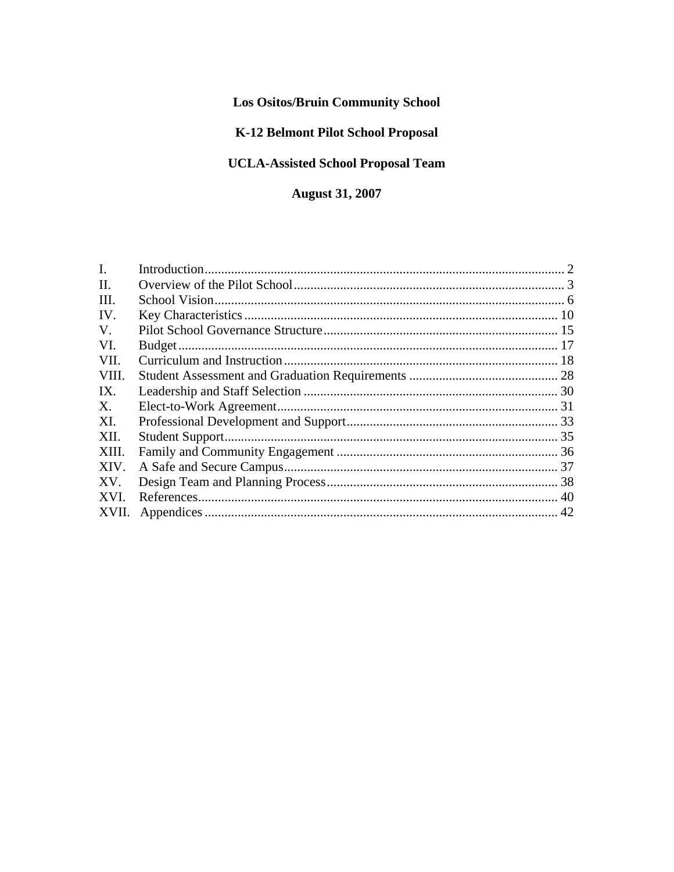# **Los Ositos/Bruin Community School**

# K-12 Belmont Pilot School Proposal

# **UCLA-Assisted School Proposal Team**

# **August 31, 2007**

| XVII. |  |
|-------|--|
|       |  |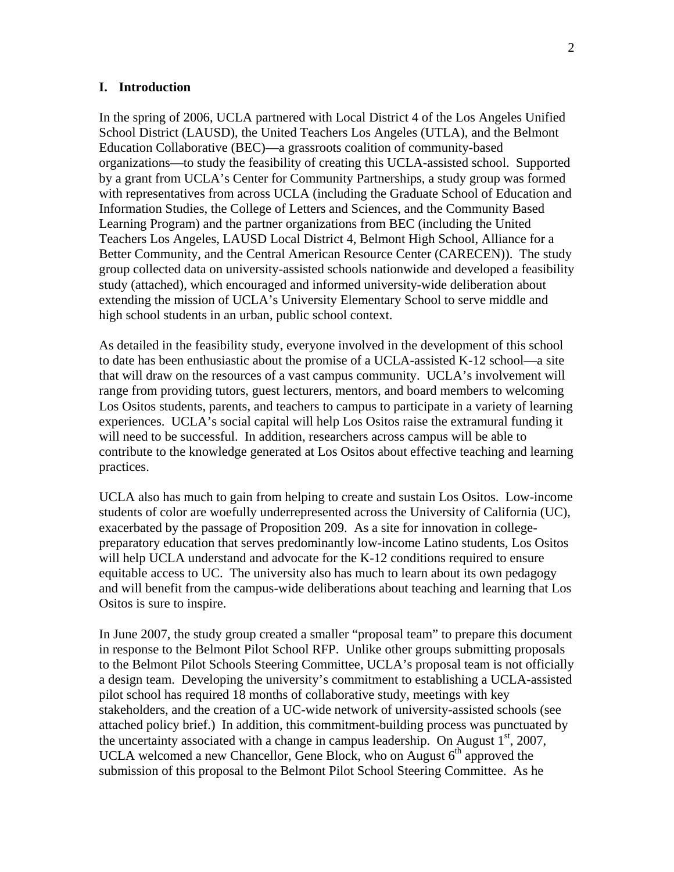#### **I. Introduction**

In the spring of 2006, UCLA partnered with Local District 4 of the Los Angeles Unified School District (LAUSD), the United Teachers Los Angeles (UTLA), and the Belmont Education Collaborative (BEC)—a grassroots coalition of community-based organizations—to study the feasibility of creating this UCLA-assisted school. Supported by a grant from UCLA's Center for Community Partnerships, a study group was formed with representatives from across UCLA (including the Graduate School of Education and Information Studies, the College of Letters and Sciences, and the Community Based Learning Program) and the partner organizations from BEC (including the United Teachers Los Angeles, LAUSD Local District 4, Belmont High School, Alliance for a Better Community, and the Central American Resource Center (CARECEN)). The study group collected data on university-assisted schools nationwide and developed a feasibility study (attached), which encouraged and informed university-wide deliberation about extending the mission of UCLA's University Elementary School to serve middle and high school students in an urban, public school context.

As detailed in the feasibility study, everyone involved in the development of this school to date has been enthusiastic about the promise of a UCLA-assisted K-12 school—a site that will draw on the resources of a vast campus community. UCLA's involvement will range from providing tutors, guest lecturers, mentors, and board members to welcoming Los Ositos students, parents, and teachers to campus to participate in a variety of learning experiences. UCLA's social capital will help Los Ositos raise the extramural funding it will need to be successful. In addition, researchers across campus will be able to contribute to the knowledge generated at Los Ositos about effective teaching and learning practices.

UCLA also has much to gain from helping to create and sustain Los Ositos. Low-income students of color are woefully underrepresented across the University of California (UC), exacerbated by the passage of Proposition 209. As a site for innovation in collegepreparatory education that serves predominantly low-income Latino students, Los Ositos will help UCLA understand and advocate for the K-12 conditions required to ensure equitable access to UC. The university also has much to learn about its own pedagogy and will benefit from the campus-wide deliberations about teaching and learning that Los Ositos is sure to inspire.

In June 2007, the study group created a smaller "proposal team" to prepare this document in response to the Belmont Pilot School RFP. Unlike other groups submitting proposals to the Belmont Pilot Schools Steering Committee, UCLA's proposal team is not officially a design team. Developing the university's commitment to establishing a UCLA-assisted pilot school has required 18 months of collaborative study, meetings with key stakeholders, and the creation of a UC-wide network of university-assisted schools (see attached policy brief.) In addition, this commitment-building process was punctuated by the uncertainty associated with a change in campus leadership. On August  $1<sup>st</sup>$ , 2007, UCLA welcomed a new Chancellor, Gene Block, who on August  $6<sup>th</sup>$  approved the submission of this proposal to the Belmont Pilot School Steering Committee. As he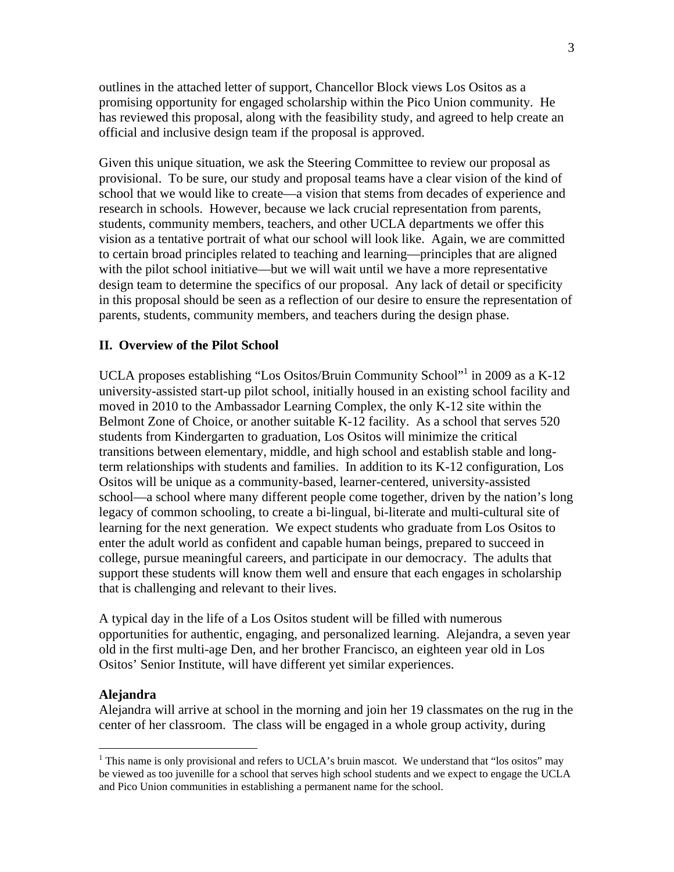outlines in the attached letter of support, Chancellor Block views Los Ositos as a promising opportunity for engaged scholarship within the Pico Union community. He has reviewed this proposal, along with the feasibility study, and agreed to help create an official and inclusive design team if the proposal is approved.

Given this unique situation, we ask the Steering Committee to review our proposal as provisional. To be sure, our study and proposal teams have a clear vision of the kind of school that we would like to create—a vision that stems from decades of experience and research in schools. However, because we lack crucial representation from parents, students, community members, teachers, and other UCLA departments we offer this vision as a tentative portrait of what our school will look like. Again, we are committed to certain broad principles related to teaching and learning—principles that are aligned with the pilot school initiative—but we will wait until we have a more representative design team to determine the specifics of our proposal. Any lack of detail or specificity in this proposal should be seen as a reflection of our desire to ensure the representation of parents, students, community members, and teachers during the design phase.

### **II. Overview of the Pilot School**

UCLA proposes establishing "Los Ositos/Bruin Community School"<sup>1</sup> in 2009 as a K-12 university-assisted start-up pilot school, initially housed in an existing school facility and moved in 2010 to the Ambassador Learning Complex, the only K-12 site within the Belmont Zone of Choice, or another suitable K-12 facility. As a school that serves 520 students from Kindergarten to graduation, Los Ositos will minimize the critical transitions between elementary, middle, and high school and establish stable and longterm relationships with students and families. In addition to its K-12 configuration, Los Ositos will be unique as a community-based, learner-centered, university-assisted school—a school where many different people come together, driven by the nation's long legacy of common schooling, to create a bi-lingual, bi-literate and multi-cultural site of learning for the next generation. We expect students who graduate from Los Ositos to enter the adult world as confident and capable human beings, prepared to succeed in college, pursue meaningful careers, and participate in our democracy. The adults that support these students will know them well and ensure that each engages in scholarship that is challenging and relevant to their lives.

A typical day in the life of a Los Ositos student will be filled with numerous opportunities for authentic, engaging, and personalized learning. Alejandra, a seven year old in the first multi-age Den, and her brother Francisco, an eighteen year old in Los Ositos' Senior Institute, will have different yet similar experiences.

#### **Alejandra**

 $\overline{a}$ 

Alejandra will arrive at school in the morning and join her 19 classmates on the rug in the center of her classroom. The class will be engaged in a whole group activity, during

<sup>&</sup>lt;sup>1</sup> This name is only provisional and refers to UCLA's bruin mascot. We understand that "los ositos" may be viewed as too juvenille for a school that serves high school students and we expect to engage the UCLA and Pico Union communities in establishing a permanent name for the school.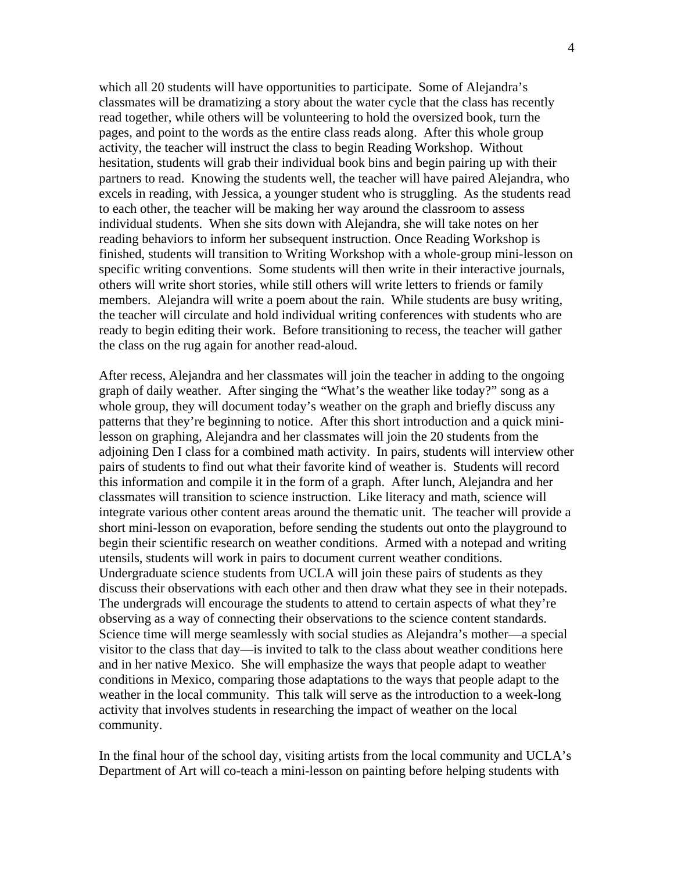which all 20 students will have opportunities to participate. Some of Alejandra's classmates will be dramatizing a story about the water cycle that the class has recently read together, while others will be volunteering to hold the oversized book, turn the pages, and point to the words as the entire class reads along. After this whole group activity, the teacher will instruct the class to begin Reading Workshop. Without hesitation, students will grab their individual book bins and begin pairing up with their partners to read. Knowing the students well, the teacher will have paired Alejandra, who excels in reading, with Jessica, a younger student who is struggling. As the students read to each other, the teacher will be making her way around the classroom to assess individual students. When she sits down with Alejandra, she will take notes on her reading behaviors to inform her subsequent instruction. Once Reading Workshop is finished, students will transition to Writing Workshop with a whole-group mini-lesson on specific writing conventions. Some students will then write in their interactive journals, others will write short stories, while still others will write letters to friends or family members. Alejandra will write a poem about the rain. While students are busy writing, the teacher will circulate and hold individual writing conferences with students who are ready to begin editing their work. Before transitioning to recess, the teacher will gather the class on the rug again for another read-aloud.

After recess, Alejandra and her classmates will join the teacher in adding to the ongoing graph of daily weather. After singing the "What's the weather like today?" song as a whole group, they will document today's weather on the graph and briefly discuss any patterns that they're beginning to notice. After this short introduction and a quick minilesson on graphing, Alejandra and her classmates will join the 20 students from the adjoining Den I class for a combined math activity. In pairs, students will interview other pairs of students to find out what their favorite kind of weather is. Students will record this information and compile it in the form of a graph. After lunch, Alejandra and her classmates will transition to science instruction. Like literacy and math, science will integrate various other content areas around the thematic unit. The teacher will provide a short mini-lesson on evaporation, before sending the students out onto the playground to begin their scientific research on weather conditions. Armed with a notepad and writing utensils, students will work in pairs to document current weather conditions. Undergraduate science students from UCLA will join these pairs of students as they discuss their observations with each other and then draw what they see in their notepads. The undergrads will encourage the students to attend to certain aspects of what they're observing as a way of connecting their observations to the science content standards. Science time will merge seamlessly with social studies as Alejandra's mother—a special visitor to the class that day—is invited to talk to the class about weather conditions here and in her native Mexico. She will emphasize the ways that people adapt to weather conditions in Mexico, comparing those adaptations to the ways that people adapt to the weather in the local community. This talk will serve as the introduction to a week-long activity that involves students in researching the impact of weather on the local community.

In the final hour of the school day, visiting artists from the local community and UCLA's Department of Art will co-teach a mini-lesson on painting before helping students with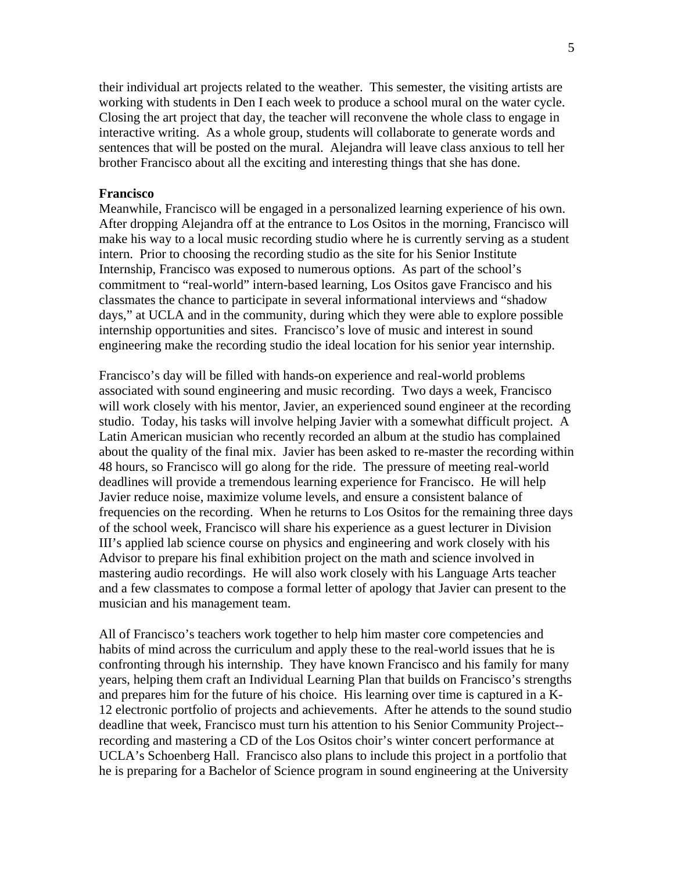their individual art projects related to the weather. This semester, the visiting artists are working with students in Den I each week to produce a school mural on the water cycle. Closing the art project that day, the teacher will reconvene the whole class to engage in interactive writing. As a whole group, students will collaborate to generate words and sentences that will be posted on the mural. Alejandra will leave class anxious to tell her brother Francisco about all the exciting and interesting things that she has done.

#### **Francisco**

Meanwhile, Francisco will be engaged in a personalized learning experience of his own. After dropping Alejandra off at the entrance to Los Ositos in the morning, Francisco will make his way to a local music recording studio where he is currently serving as a student intern. Prior to choosing the recording studio as the site for his Senior Institute Internship, Francisco was exposed to numerous options. As part of the school's commitment to "real-world" intern-based learning, Los Ositos gave Francisco and his classmates the chance to participate in several informational interviews and "shadow days," at UCLA and in the community, during which they were able to explore possible internship opportunities and sites. Francisco's love of music and interest in sound engineering make the recording studio the ideal location for his senior year internship.

Francisco's day will be filled with hands-on experience and real-world problems associated with sound engineering and music recording. Two days a week, Francisco will work closely with his mentor, Javier, an experienced sound engineer at the recording studio. Today, his tasks will involve helping Javier with a somewhat difficult project. A Latin American musician who recently recorded an album at the studio has complained about the quality of the final mix. Javier has been asked to re-master the recording within 48 hours, so Francisco will go along for the ride. The pressure of meeting real-world deadlines will provide a tremendous learning experience for Francisco. He will help Javier reduce noise, maximize volume levels, and ensure a consistent balance of frequencies on the recording. When he returns to Los Ositos for the remaining three days of the school week, Francisco will share his experience as a guest lecturer in Division III's applied lab science course on physics and engineering and work closely with his Advisor to prepare his final exhibition project on the math and science involved in mastering audio recordings. He will also work closely with his Language Arts teacher and a few classmates to compose a formal letter of apology that Javier can present to the musician and his management team.

All of Francisco's teachers work together to help him master core competencies and habits of mind across the curriculum and apply these to the real-world issues that he is confronting through his internship. They have known Francisco and his family for many years, helping them craft an Individual Learning Plan that builds on Francisco's strengths and prepares him for the future of his choice. His learning over time is captured in a K-12 electronic portfolio of projects and achievements. After he attends to the sound studio deadline that week, Francisco must turn his attention to his Senior Community Project- recording and mastering a CD of the Los Ositos choir's winter concert performance at UCLA's Schoenberg Hall. Francisco also plans to include this project in a portfolio that he is preparing for a Bachelor of Science program in sound engineering at the University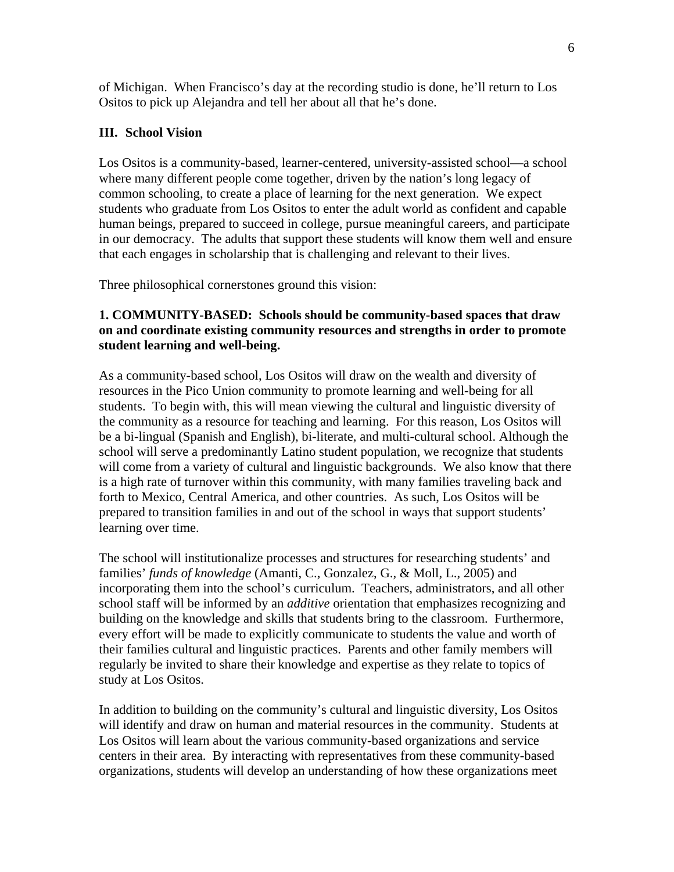of Michigan. When Francisco's day at the recording studio is done, he'll return to Los Ositos to pick up Alejandra and tell her about all that he's done.

## **III. School Vision**

Los Ositos is a community-based, learner-centered, university-assisted school—a school where many different people come together, driven by the nation's long legacy of common schooling, to create a place of learning for the next generation. We expect students who graduate from Los Ositos to enter the adult world as confident and capable human beings, prepared to succeed in college, pursue meaningful careers, and participate in our democracy. The adults that support these students will know them well and ensure that each engages in scholarship that is challenging and relevant to their lives.

Three philosophical cornerstones ground this vision:

## **1. COMMUNITY-BASED: Schools should be community-based spaces that draw on and coordinate existing community resources and strengths in order to promote student learning and well-being.**

As a community-based school, Los Ositos will draw on the wealth and diversity of resources in the Pico Union community to promote learning and well-being for all students. To begin with, this will mean viewing the cultural and linguistic diversity of the community as a resource for teaching and learning. For this reason, Los Ositos will be a bi-lingual (Spanish and English), bi-literate, and multi-cultural school. Although the school will serve a predominantly Latino student population, we recognize that students will come from a variety of cultural and linguistic backgrounds. We also know that there is a high rate of turnover within this community, with many families traveling back and forth to Mexico, Central America, and other countries. As such, Los Ositos will be prepared to transition families in and out of the school in ways that support students' learning over time.

The school will institutionalize processes and structures for researching students' and families' *funds of knowledge* (Amanti, C., Gonzalez, G., & Moll, L., 2005) and incorporating them into the school's curriculum. Teachers, administrators, and all other school staff will be informed by an *additive* orientation that emphasizes recognizing and building on the knowledge and skills that students bring to the classroom. Furthermore, every effort will be made to explicitly communicate to students the value and worth of their families cultural and linguistic practices. Parents and other family members will regularly be invited to share their knowledge and expertise as they relate to topics of study at Los Ositos.

In addition to building on the community's cultural and linguistic diversity, Los Ositos will identify and draw on human and material resources in the community. Students at Los Ositos will learn about the various community-based organizations and service centers in their area. By interacting with representatives from these community-based organizations, students will develop an understanding of how these organizations meet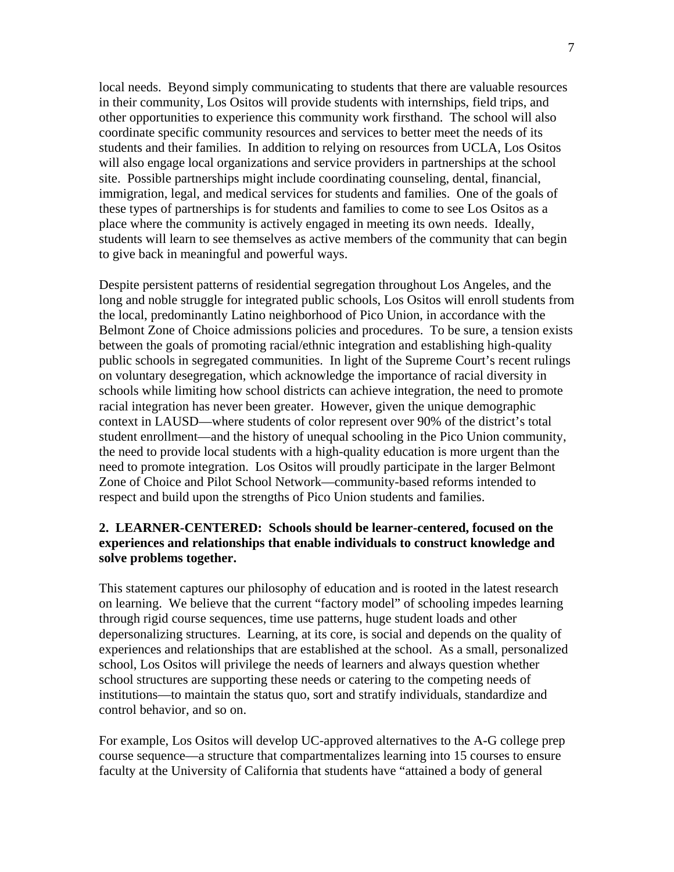local needs. Beyond simply communicating to students that there are valuable resources in their community, Los Ositos will provide students with internships, field trips, and other opportunities to experience this community work firsthand. The school will also coordinate specific community resources and services to better meet the needs of its students and their families. In addition to relying on resources from UCLA, Los Ositos will also engage local organizations and service providers in partnerships at the school site. Possible partnerships might include coordinating counseling, dental, financial, immigration, legal, and medical services for students and families. One of the goals of these types of partnerships is for students and families to come to see Los Ositos as a place where the community is actively engaged in meeting its own needs. Ideally, students will learn to see themselves as active members of the community that can begin to give back in meaningful and powerful ways.

Despite persistent patterns of residential segregation throughout Los Angeles, and the long and noble struggle for integrated public schools, Los Ositos will enroll students from the local, predominantly Latino neighborhood of Pico Union, in accordance with the Belmont Zone of Choice admissions policies and procedures. To be sure, a tension exists between the goals of promoting racial/ethnic integration and establishing high-quality public schools in segregated communities. In light of the Supreme Court's recent rulings on voluntary desegregation, which acknowledge the importance of racial diversity in schools while limiting how school districts can achieve integration, the need to promote racial integration has never been greater. However, given the unique demographic context in LAUSD—where students of color represent over 90% of the district's total student enrollment—and the history of unequal schooling in the Pico Union community, the need to provide local students with a high-quality education is more urgent than the need to promote integration. Los Ositos will proudly participate in the larger Belmont Zone of Choice and Pilot School Network—community-based reforms intended to respect and build upon the strengths of Pico Union students and families.

### **2. LEARNER-CENTERED: Schools should be learner-centered, focused on the experiences and relationships that enable individuals to construct knowledge and solve problems together.**

This statement captures our philosophy of education and is rooted in the latest research on learning. We believe that the current "factory model" of schooling impedes learning through rigid course sequences, time use patterns, huge student loads and other depersonalizing structures. Learning, at its core, is social and depends on the quality of experiences and relationships that are established at the school. As a small, personalized school, Los Ositos will privilege the needs of learners and always question whether school structures are supporting these needs or catering to the competing needs of institutions—to maintain the status quo, sort and stratify individuals, standardize and control behavior, and so on.

For example, Los Ositos will develop UC-approved alternatives to the A-G college prep course sequence—a structure that compartmentalizes learning into 15 courses to ensure faculty at the University of California that students have "attained a body of general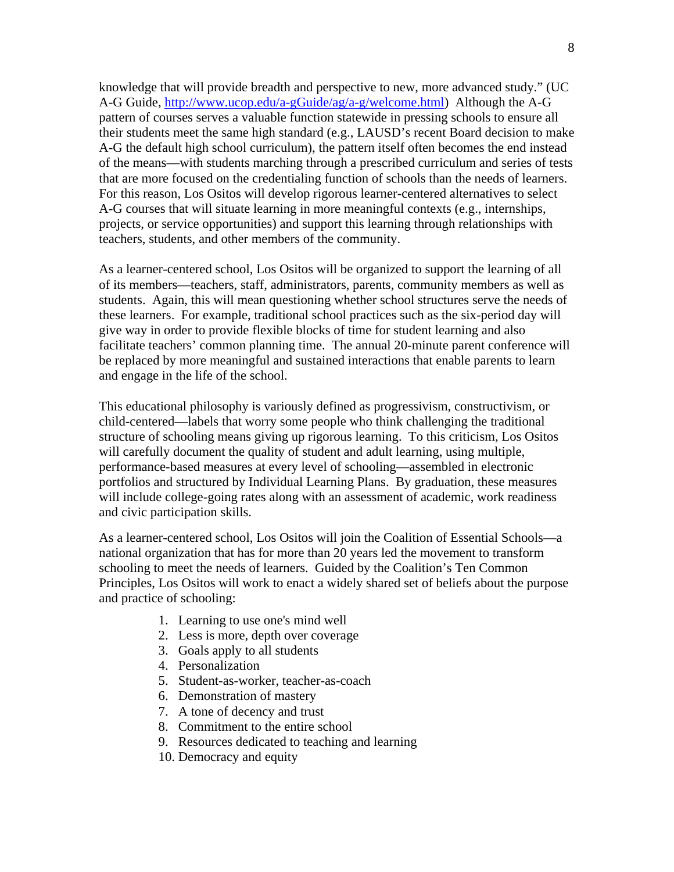knowledge that will provide breadth and perspective to new, more advanced study." (UC A-G Guide, http://www.ucop.edu/a-gGuide/ag/a-g/welcome.html) Although the A-G pattern of courses serves a valuable function statewide in pressing schools to ensure all their students meet the same high standard (e.g., LAUSD's recent Board decision to make A-G the default high school curriculum), the pattern itself often becomes the end instead of the means—with students marching through a prescribed curriculum and series of tests that are more focused on the credentialing function of schools than the needs of learners. For this reason, Los Ositos will develop rigorous learner-centered alternatives to select A-G courses that will situate learning in more meaningful contexts (e.g., internships, projects, or service opportunities) and support this learning through relationships with teachers, students, and other members of the community.

As a learner-centered school, Los Ositos will be organized to support the learning of all of its members—teachers, staff, administrators, parents, community members as well as students. Again, this will mean questioning whether school structures serve the needs of these learners. For example, traditional school practices such as the six-period day will give way in order to provide flexible blocks of time for student learning and also facilitate teachers' common planning time. The annual 20-minute parent conference will be replaced by more meaningful and sustained interactions that enable parents to learn and engage in the life of the school.

This educational philosophy is variously defined as progressivism, constructivism, or child-centered—labels that worry some people who think challenging the traditional structure of schooling means giving up rigorous learning. To this criticism, Los Ositos will carefully document the quality of student and adult learning, using multiple, performance-based measures at every level of schooling—assembled in electronic portfolios and structured by Individual Learning Plans. By graduation, these measures will include college-going rates along with an assessment of academic, work readiness and civic participation skills.

As a learner-centered school, Los Ositos will join the Coalition of Essential Schools—a national organization that has for more than 20 years led the movement to transform schooling to meet the needs of learners. Guided by the Coalition's Ten Common Principles, Los Ositos will work to enact a widely shared set of beliefs about the purpose and practice of schooling:

- 1. Learning to use one's mind well
- 2. Less is more, depth over coverage
- 3. Goals apply to all students
- 4. Personalization
- 5. Student-as-worker, teacher-as-coach
- 6. Demonstration of mastery
- 7. A tone of decency and trust
- 8. Commitment to the entire school
- 9. Resources dedicated to teaching and learning
- 10. Democracy and equity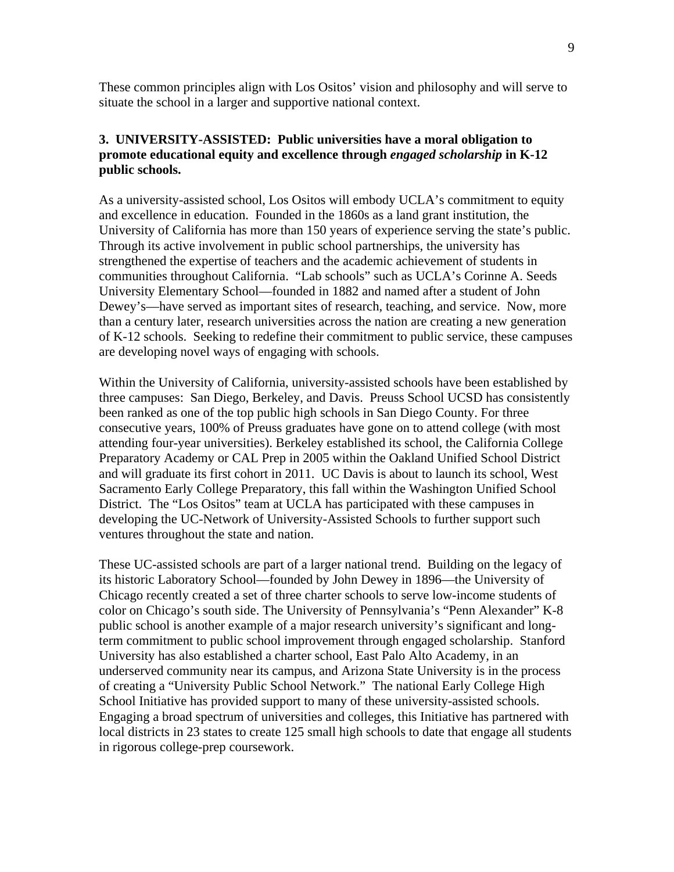These common principles align with Los Ositos' vision and philosophy and will serve to situate the school in a larger and supportive national context.

## **3. UNIVERSITY-ASSISTED: Public universities have a moral obligation to promote educational equity and excellence through** *engaged scholarship* **in K-12 public schools.**

As a university-assisted school, Los Ositos will embody UCLA's commitment to equity and excellence in education. Founded in the 1860s as a land grant institution, the University of California has more than 150 years of experience serving the state's public. Through its active involvement in public school partnerships, the university has strengthened the expertise of teachers and the academic achievement of students in communities throughout California. "Lab schools" such as UCLA's Corinne A. Seeds University Elementary School—founded in 1882 and named after a student of John Dewey's—have served as important sites of research, teaching, and service. Now, more than a century later, research universities across the nation are creating a new generation of K-12 schools. Seeking to redefine their commitment to public service, these campuses are developing novel ways of engaging with schools.

Within the University of California, university-assisted schools have been established by three campuses: San Diego, Berkeley, and Davis. Preuss School UCSD has consistently been ranked as one of the top public high schools in San Diego County. For three consecutive years, 100% of Preuss graduates have gone on to attend college (with most attending four-year universities). Berkeley established its school, the California College Preparatory Academy or CAL Prep in 2005 within the Oakland Unified School District and will graduate its first cohort in 2011. UC Davis is about to launch its school, West Sacramento Early College Preparatory, this fall within the Washington Unified School District. The "Los Ositos" team at UCLA has participated with these campuses in developing the UC-Network of University-Assisted Schools to further support such ventures throughout the state and nation.

These UC-assisted schools are part of a larger national trend. Building on the legacy of its historic Laboratory School—founded by John Dewey in 1896—the University of Chicago recently created a set of three charter schools to serve low-income students of color on Chicago's south side. The University of Pennsylvania's "Penn Alexander" K-8 public school is another example of a major research university's significant and longterm commitment to public school improvement through engaged scholarship. Stanford University has also established a charter school, East Palo Alto Academy, in an underserved community near its campus, and Arizona State University is in the process of creating a "University Public School Network." The national Early College High School Initiative has provided support to many of these university-assisted schools. Engaging a broad spectrum of universities and colleges, this Initiative has partnered with local districts in 23 states to create 125 small high schools to date that engage all students in rigorous college-prep coursework.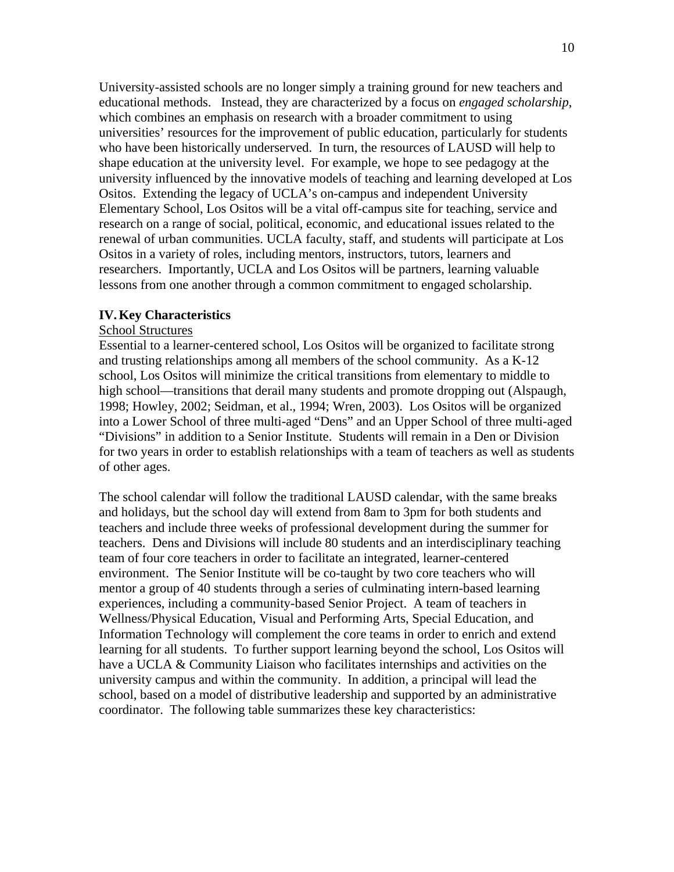University-assisted schools are no longer simply a training ground for new teachers and educational methods. Instead, they are characterized by a focus on *engaged scholarship*, which combines an emphasis on research with a broader commitment to using universities' resources for the improvement of public education, particularly for students who have been historically underserved. In turn, the resources of LAUSD will help to shape education at the university level. For example, we hope to see pedagogy at the university influenced by the innovative models of teaching and learning developed at Los Ositos. Extending the legacy of UCLA's on-campus and independent University Elementary School, Los Ositos will be a vital off-campus site for teaching, service and research on a range of social, political, economic, and educational issues related to the renewal of urban communities. UCLA faculty, staff, and students will participate at Los Ositos in a variety of roles, including mentors, instructors, tutors, learners and researchers. Importantly, UCLA and Los Ositos will be partners, learning valuable lessons from one another through a common commitment to engaged scholarship.

#### **IV.Key Characteristics**

#### School Structures

Essential to a learner-centered school, Los Ositos will be organized to facilitate strong and trusting relationships among all members of the school community. As a K-12 school, Los Ositos will minimize the critical transitions from elementary to middle to high school—transitions that derail many students and promote dropping out (Alspaugh, 1998; Howley, 2002; Seidman, et al., 1994; Wren, 2003). Los Ositos will be organized into a Lower School of three multi-aged "Dens" and an Upper School of three multi-aged "Divisions" in addition to a Senior Institute. Students will remain in a Den or Division for two years in order to establish relationships with a team of teachers as well as students of other ages.

The school calendar will follow the traditional LAUSD calendar, with the same breaks and holidays, but the school day will extend from 8am to 3pm for both students and teachers and include three weeks of professional development during the summer for teachers. Dens and Divisions will include 80 students and an interdisciplinary teaching team of four core teachers in order to facilitate an integrated, learner-centered environment. The Senior Institute will be co-taught by two core teachers who will mentor a group of 40 students through a series of culminating intern-based learning experiences, including a community-based Senior Project. A team of teachers in Wellness/Physical Education, Visual and Performing Arts, Special Education, and Information Technology will complement the core teams in order to enrich and extend learning for all students. To further support learning beyond the school, Los Ositos will have a UCLA & Community Liaison who facilitates internships and activities on the university campus and within the community. In addition, a principal will lead the school, based on a model of distributive leadership and supported by an administrative coordinator. The following table summarizes these key characteristics: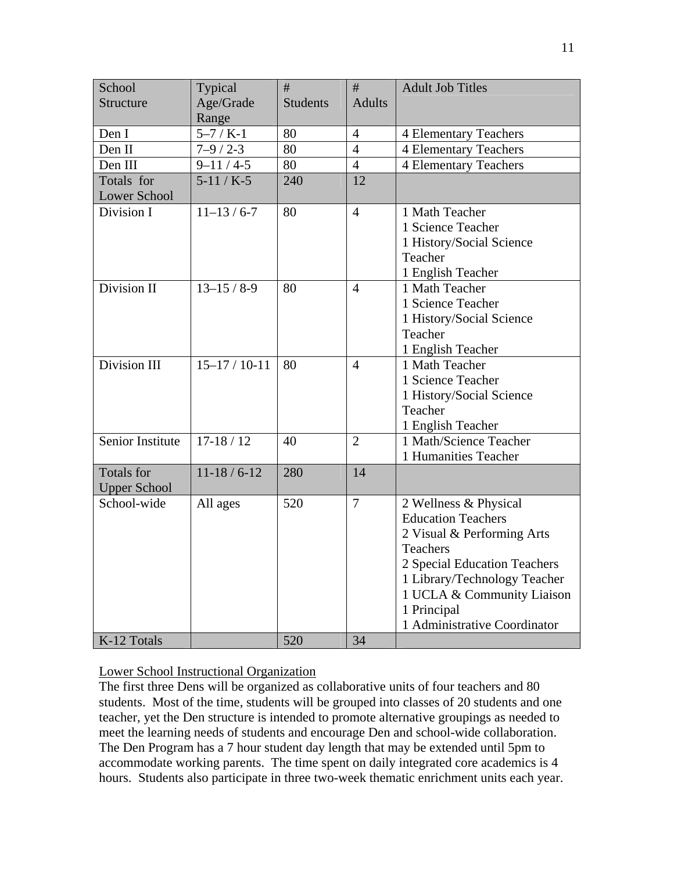| School                  | Typical             | #               | #              | <b>Adult Job Titles</b>      |
|-------------------------|---------------------|-----------------|----------------|------------------------------|
| <b>Structure</b>        | Age/Grade           | <b>Students</b> | <b>Adults</b>  |                              |
|                         | Range               |                 |                |                              |
| Den I                   | $5 - 7 / K - 1$     | 80              | $\overline{4}$ | <b>4 Elementary Teachers</b> |
| Den II                  | $7 - 9 / 2 - 3$     | 80              | $\overline{4}$ | <b>4 Elementary Teachers</b> |
| Den III                 | $9 - 11 / 4 - 5$    | 80              | $\overline{4}$ | <b>4 Elementary Teachers</b> |
| Totals for              | $5-11/K-5$          | 240             | 12             |                              |
| <b>Lower School</b>     |                     |                 |                |                              |
| Division I              | $11-13/6-7$         | 80              | $\overline{4}$ | 1 Math Teacher               |
|                         |                     |                 |                | 1 Science Teacher            |
|                         |                     |                 |                | 1 History/Social Science     |
|                         |                     |                 |                | Teacher                      |
|                         |                     |                 |                | 1 English Teacher            |
| Division II             | $13 - 15 / 8 - 9$   | 80              | $\overline{4}$ | 1 Math Teacher               |
|                         |                     |                 |                | 1 Science Teacher            |
|                         |                     |                 |                | 1 History/Social Science     |
|                         |                     |                 |                | Teacher                      |
|                         |                     |                 |                | 1 English Teacher            |
| Division III            | $15 - 17 / 10 - 11$ | 80              | $\overline{4}$ | 1 Math Teacher               |
|                         |                     |                 |                | 1 Science Teacher            |
|                         |                     |                 |                | 1 History/Social Science     |
|                         |                     |                 |                | Teacher                      |
|                         |                     |                 |                | 1 English Teacher            |
| <b>Senior Institute</b> | $17-18/12$          | 40              | $\overline{2}$ | 1 Math/Science Teacher       |
|                         |                     |                 |                | 1 Humanities Teacher         |
| <b>Totals for</b>       | $11-18/6-12$        | 280             | 14             |                              |
| <b>Upper School</b>     |                     |                 |                |                              |
| School-wide             | All ages            | 520             | $\overline{7}$ | 2 Wellness & Physical        |
|                         |                     |                 |                | <b>Education Teachers</b>    |
|                         |                     |                 |                | 2 Visual & Performing Arts   |
|                         |                     |                 |                | Teachers                     |
|                         |                     |                 |                | 2 Special Education Teachers |
|                         |                     |                 |                | 1 Library/Technology Teacher |
|                         |                     |                 |                | 1 UCLA & Community Liaison   |
|                         |                     |                 |                | 1 Principal                  |
|                         |                     |                 |                | 1 Administrative Coordinator |
| K-12 Totals             |                     | 520             | 34             |                              |

## Lower School Instructional Organization

The first three Dens will be organized as collaborative units of four teachers and 80 students. Most of the time, students will be grouped into classes of 20 students and one teacher, yet the Den structure is intended to promote alternative groupings as needed to meet the learning needs of students and encourage Den and school-wide collaboration. The Den Program has a 7 hour student day length that may be extended until 5pm to accommodate working parents. The time spent on daily integrated core academics is 4 hours. Students also participate in three two-week thematic enrichment units each year.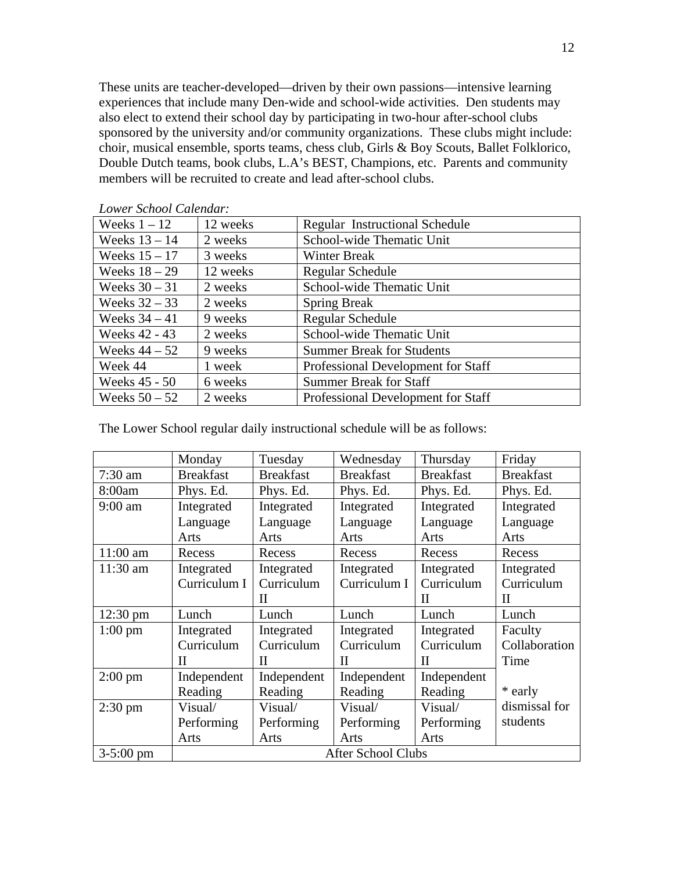These units are teacher-developed—driven by their own passions—intensive learning experiences that include many Den-wide and school-wide activities. Den students may also elect to extend their school day by participating in two-hour after-school clubs sponsored by the university and/or community organizations. These clubs might include: choir, musical ensemble, sports teams, chess club, Girls & Boy Scouts, Ballet Folklorico, Double Dutch teams, book clubs, L.A's BEST, Champions, etc. Parents and community members will be recruited to create and lead after-school clubs.

| Weeks $1 - 12$  | 12 weeks | <b>Regular Instructional Schedule</b> |
|-----------------|----------|---------------------------------------|
| Weeks $13 - 14$ | 2 weeks  | School-wide Thematic Unit             |
| Weeks $15 - 17$ | 3 weeks  | <b>Winter Break</b>                   |
| Weeks $18-29$   | 12 weeks | Regular Schedule                      |
| Weeks $30 - 31$ | 2 weeks  | School-wide Thematic Unit             |
| Weeks $32 - 33$ | 2 weeks  | <b>Spring Break</b>                   |
| Weeks $34 - 41$ | 9 weeks  | Regular Schedule                      |
| Weeks 42 - 43   | 2 weeks  | School-wide Thematic Unit             |
| Weeks $44 - 52$ | 9 weeks  | <b>Summer Break for Students</b>      |
| Week 44         | 1 week   | Professional Development for Staff    |
| Weeks 45 - 50   | 6 weeks  | <b>Summer Break for Staff</b>         |
| Weeks $50 - 52$ | 2 weeks  | Professional Development for Staff    |

*Lower School Calendar:* 

The Lower School regular daily instructional schedule will be as follows:

|                    | Monday           | Tuesday          | Wednesday        | Thursday         | Friday           |
|--------------------|------------------|------------------|------------------|------------------|------------------|
| $7:30$ am          | <b>Breakfast</b> | <b>Breakfast</b> | <b>Breakfast</b> | <b>Breakfast</b> | <b>Breakfast</b> |
| 8:00am             | Phys. Ed.        | Phys. Ed.        | Phys. Ed.        | Phys. Ed.        | Phys. Ed.        |
| $9:00$ am          | Integrated       | Integrated       | Integrated       | Integrated       | Integrated       |
|                    | Language         | Language         | Language         | Language         | Language         |
|                    | Arts             | Arts             | Arts             | Arts             | Arts             |
| $11:00$ am         | Recess           | Recess           | Recess           | Recess           | Recess           |
| $11:30$ am         | Integrated       | Integrated       | Integrated       | Integrated       | Integrated       |
|                    | Curriculum I     | Curriculum       | Curriculum I     | Curriculum       | Curriculum       |
|                    |                  | Н                |                  | П                | $\rm II$         |
|                    |                  |                  |                  |                  |                  |
| $12:30 \text{ pm}$ | Lunch            | Lunch            | Lunch            | Lunch            | Lunch            |
| $1:00 \text{ pm}$  | Integrated       | Integrated       | Integrated       | Integrated       | Faculty          |
|                    | Curriculum       | Curriculum       | Curriculum       | Curriculum       | Collaboration    |
|                    | Н                | Н                | H                | H                | Time             |
| $2:00 \text{ pm}$  | Independent      | Independent      | Independent      | Independent      |                  |
|                    | Reading          | Reading          | Reading          | Reading          | * early          |
| $2:30 \text{ pm}$  | Visual/          | Visual/          | Visual/          | Visual/          | dismissal for    |
|                    | Performing       | Performing       | Performing       | Performing       | students         |
|                    | Arts             | Arts             | Arts             | Arts             |                  |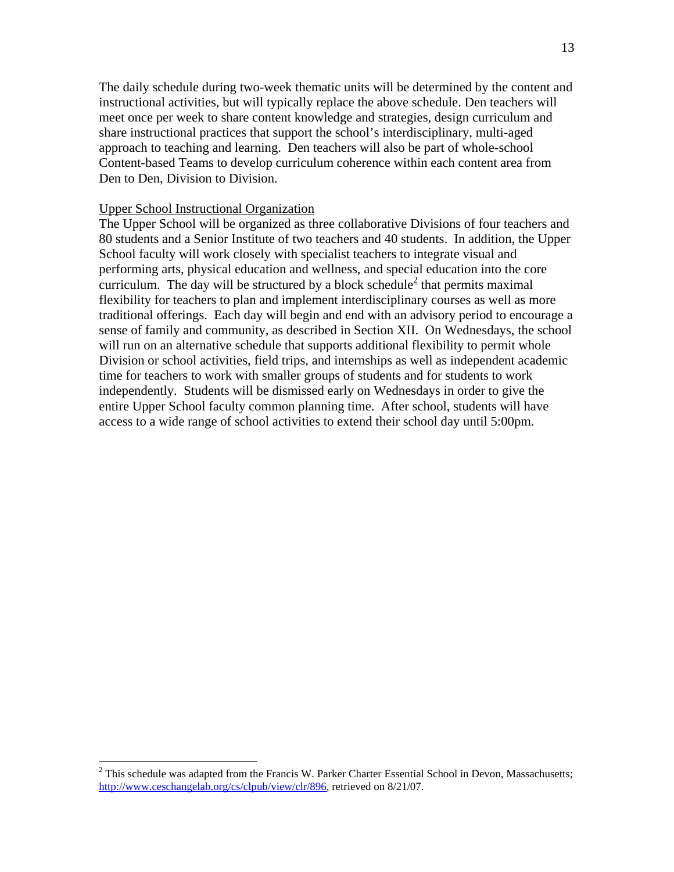The daily schedule during two-week thematic units will be determined by the content and instructional activities, but will typically replace the above schedule. Den teachers will meet once per week to share content knowledge and strategies, design curriculum and share instructional practices that support the school's interdisciplinary, multi-aged approach to teaching and learning. Den teachers will also be part of whole-school Content-based Teams to develop curriculum coherence within each content area from Den to Den, Division to Division.

#### Upper School Instructional Organization

 $\overline{a}$ 

The Upper School will be organized as three collaborative Divisions of four teachers and 80 students and a Senior Institute of two teachers and 40 students. In addition, the Upper School faculty will work closely with specialist teachers to integrate visual and performing arts, physical education and wellness, and special education into the core curriculum. The day will be structured by a block schedule<sup>2</sup> that permits maximal flexibility for teachers to plan and implement interdisciplinary courses as well as more traditional offerings. Each day will begin and end with an advisory period to encourage a sense of family and community, as described in Section XII. On Wednesdays, the school will run on an alternative schedule that supports additional flexibility to permit whole Division or school activities, field trips, and internships as well as independent academic time for teachers to work with smaller groups of students and for students to work independently. Students will be dismissed early on Wednesdays in order to give the entire Upper School faculty common planning time. After school, students will have access to a wide range of school activities to extend their school day until 5:00pm.

 $2$  This schedule was adapted from the Francis W. Parker Charter Essential School in Devon, Massachusetts; http://www.ceschangelab.org/cs/clpub/view/clr/896, retrieved on 8/21/07.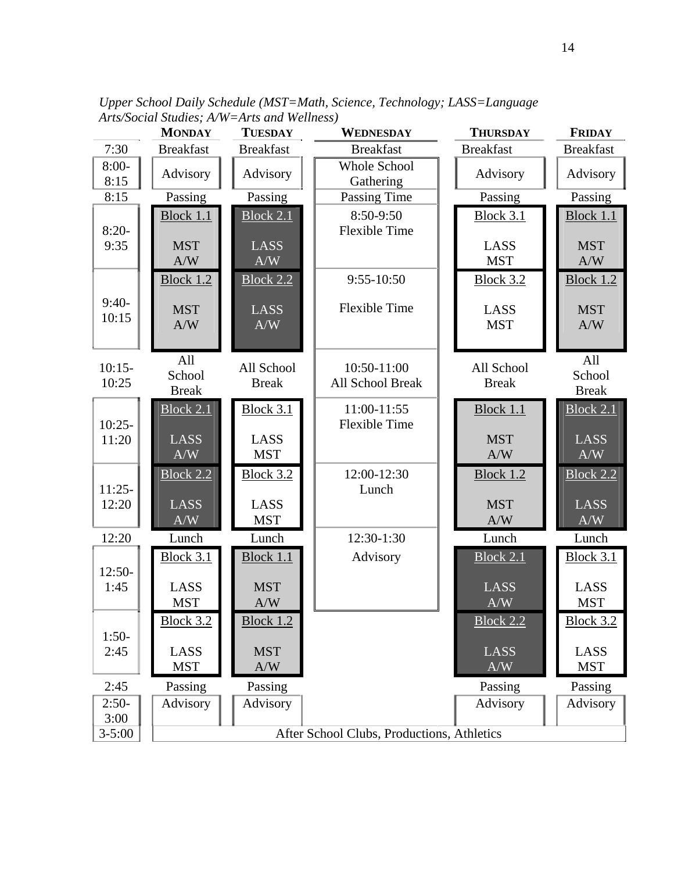|                            | <b>MONDAY</b>                 | <b>TUESDAY</b>             | WEDNESDAY                                  | <b>THURSDAY</b>            | <b>FRIDAY</b>                 |
|----------------------------|-------------------------------|----------------------------|--------------------------------------------|----------------------------|-------------------------------|
| 7:30                       | <b>Breakfast</b>              | <b>Breakfast</b>           | <b>Breakfast</b>                           | <b>Breakfast</b>           | <b>Breakfast</b>              |
| $8:00-$<br>8:15            | Advisory                      | Advisory                   | Whole School<br>Gathering                  | Advisory                   | Advisory                      |
| 8:15                       | Passing                       | Passing                    | Passing Time                               | Passing                    | Passing                       |
| $8:20-$                    | Block 1.1                     | <b>Block 2.1</b>           | 8:50-9:50<br><b>Flexible Time</b>          | <b>Block 3.1</b>           | Block 1.1                     |
| 9:35                       | <b>MST</b><br>A/W             | LASS<br>A/W                |                                            | LASS<br><b>MST</b>         | <b>MST</b><br>A/W             |
|                            | Block 1.2                     | <b>Block 2.2</b>           | $9:55-10:50$                               | <b>Block 3.2</b>           | <b>Block 1.2</b>              |
| $9:40-$<br>10:15           | <b>MST</b><br>A/W             | LASS<br>A/W                | <b>Flexible Time</b>                       | LASS<br><b>MST</b>         | <b>MST</b><br>A/W             |
| $10:15-$<br>10:25          | All<br>School<br><b>Break</b> | All School<br><b>Break</b> | 10:50-11:00<br>All School Break            | All School<br><b>Break</b> | All<br>School<br><b>Break</b> |
| $10:25-$                   | <b>Block 2.1</b>              | <b>Block 3.1</b>           | 11:00-11:55<br><b>Flexible Time</b>        | Block 1.1                  | <b>Block 2.1</b>              |
| 11:20                      | LASS<br>A/W                   | LASS<br><b>MST</b>         |                                            | <b>MST</b><br>A/W          | <b>LASS</b><br>A/W            |
| $11:25-$                   | <b>Block 2.2</b>              | <b>Block 3.2</b>           | 12:00-12:30<br>Lunch                       | <b>Block 1.2</b>           | <b>Block 2.2</b>              |
| 12:20                      | LASS<br>A/W                   | LASS<br><b>MST</b>         |                                            | <b>MST</b><br>A/W          | <b>LASS</b><br>A/W            |
| 12:20                      | Lunch                         | Lunch                      | 12:30-1:30                                 | Lunch                      | Lunch                         |
| $12:50-$                   | <b>Block 3.1</b>              | <b>Block 1.1</b>           | Advisory                                   | <b>Block 2.1</b>           | <b>Block 3.1</b>              |
| 1:45                       | LASS<br><b>MST</b>            | <b>MST</b><br>A/W          |                                            | LASS<br>A/W                | LASS<br><b>MST</b>            |
|                            |                               | <b>Block 1.2</b>           |                                            | <b>Block 2.2</b>           | <u>Block 3.2</u>              |
| $1:50-$                    |                               |                            |                                            |                            |                               |
|                            | <b>MST</b>                    | A/W                        |                                            | A/W                        | <b>MST</b>                    |
| 2:45                       | Passing                       | Passing                    |                                            | Passing                    | Passing                       |
| $2:50-$                    | Advisory                      | Advisory                   |                                            | Advisory                   | Advisory                      |
|                            |                               |                            |                                            |                            |                               |
| 2:45<br>3:00<br>$3 - 5:00$ | <u>Block 3.2</u><br>LASS      | <b>MST</b>                 | After School Clubs, Productions, Athletics | LASS                       | LASS                          |

*Upper School Daily Schedule (MST=Math, Science, Technology; LASS=Language Arts/Social Studies; A/W=Arts and Wellness)*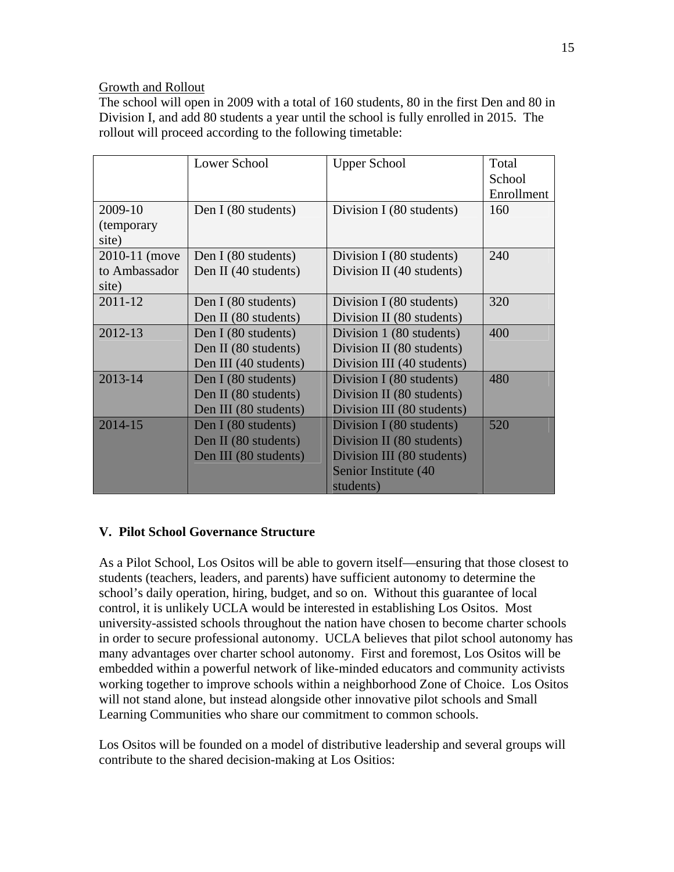## Growth and Rollout

The school will open in 2009 with a total of 160 students, 80 in the first Den and 80 in Division I, and add 80 students a year until the school is fully enrolled in 2015. The rollout will proceed according to the following timetable:

|                    | Lower School          | <b>Upper School</b>        | Total      |
|--------------------|-----------------------|----------------------------|------------|
|                    |                       |                            | School     |
|                    |                       |                            | Enrollment |
| 2009-10            | Den I (80 students)   | Division I (80 students)   | 160        |
| <i>(temporary)</i> |                       |                            |            |
| site)              |                       |                            |            |
| 2010-11 (move      | Den I (80 students)   | Division I (80 students)   | 240        |
| to Ambassador      | Den II (40 students)  | Division II (40 students)  |            |
| site)              |                       |                            |            |
| 2011-12            | Den I (80 students)   | Division I (80 students)   | 320        |
|                    | Den II (80 students)  | Division II (80 students)  |            |
| 2012-13            | Den I (80 students)   | Division 1 (80 students)   | 400        |
|                    | Den II (80 students)  | Division II (80 students)  |            |
|                    | Den III (40 students) | Division III (40 students) |            |
| 2013-14            | Den I (80 students)   | Division I (80 students)   | 480        |
|                    | Den II (80 students)  | Division II (80 students)  |            |
|                    | Den III (80 students) | Division III (80 students) |            |
| 2014-15            | Den I (80 students)   | Division I (80 students)   | 520        |
|                    | Den II (80 students)  | Division II (80 students)  |            |
|                    | Den III (80 students) | Division III (80 students) |            |
|                    |                       | Senior Institute (40       |            |
|                    |                       | students)                  |            |

## **V. Pilot School Governance Structure**

As a Pilot School, Los Ositos will be able to govern itself—ensuring that those closest to students (teachers, leaders, and parents) have sufficient autonomy to determine the school's daily operation, hiring, budget, and so on. Without this guarantee of local control, it is unlikely UCLA would be interested in establishing Los Ositos. Most university-assisted schools throughout the nation have chosen to become charter schools in order to secure professional autonomy. UCLA believes that pilot school autonomy has many advantages over charter school autonomy. First and foremost, Los Ositos will be embedded within a powerful network of like-minded educators and community activists working together to improve schools within a neighborhood Zone of Choice. Los Ositos will not stand alone, but instead alongside other innovative pilot schools and Small Learning Communities who share our commitment to common schools.

Los Ositos will be founded on a model of distributive leadership and several groups will contribute to the shared decision-making at Los Ositios: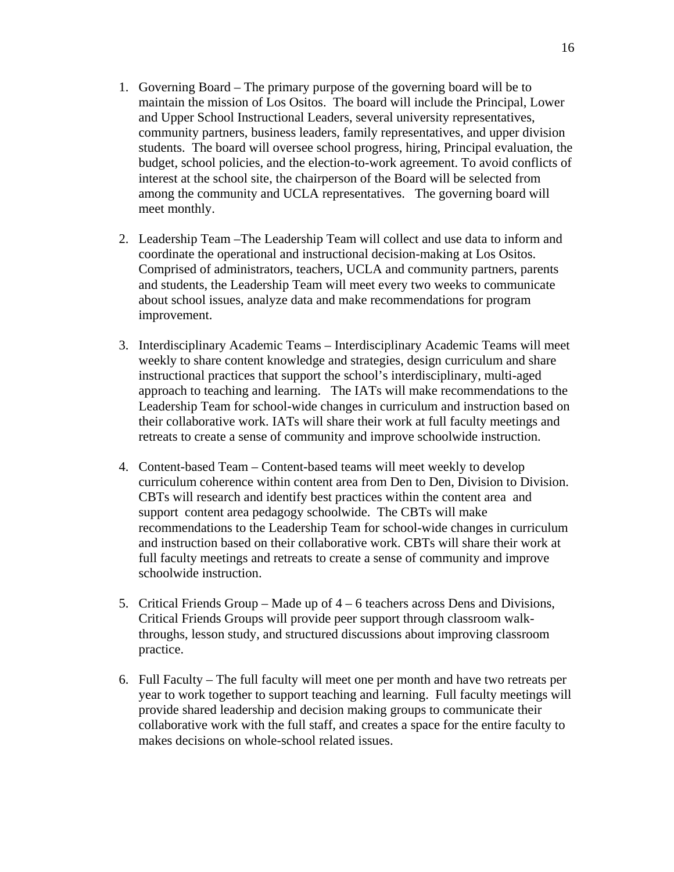- 1. Governing Board The primary purpose of the governing board will be to maintain the mission of Los Ositos. The board will include the Principal, Lower and Upper School Instructional Leaders, several university representatives, community partners, business leaders, family representatives, and upper division students. The board will oversee school progress, hiring, Principal evaluation, the budget, school policies, and the election-to-work agreement. To avoid conflicts of interest at the school site, the chairperson of the Board will be selected from among the community and UCLA representatives. The governing board will meet monthly.
- 2. Leadership Team –The Leadership Team will collect and use data to inform and coordinate the operational and instructional decision-making at Los Ositos. Comprised of administrators, teachers, UCLA and community partners, parents and students, the Leadership Team will meet every two weeks to communicate about school issues, analyze data and make recommendations for program improvement.
- 3. Interdisciplinary Academic Teams Interdisciplinary Academic Teams will meet weekly to share content knowledge and strategies, design curriculum and share instructional practices that support the school's interdisciplinary, multi-aged approach to teaching and learning. The IATs will make recommendations to the Leadership Team for school-wide changes in curriculum and instruction based on their collaborative work. IATs will share their work at full faculty meetings and retreats to create a sense of community and improve schoolwide instruction.
- 4. Content-based Team Content-based teams will meet weekly to develop curriculum coherence within content area from Den to Den, Division to Division. CBTs will research and identify best practices within the content area and support content area pedagogy schoolwide. The CBTs will make recommendations to the Leadership Team for school-wide changes in curriculum and instruction based on their collaborative work. CBTs will share their work at full faculty meetings and retreats to create a sense of community and improve schoolwide instruction.
- 5. Critical Friends Group Made up of 4 6 teachers across Dens and Divisions, Critical Friends Groups will provide peer support through classroom walkthroughs, lesson study, and structured discussions about improving classroom practice.
- 6. Full Faculty The full faculty will meet one per month and have two retreats per year to work together to support teaching and learning. Full faculty meetings will provide shared leadership and decision making groups to communicate their collaborative work with the full staff, and creates a space for the entire faculty to makes decisions on whole-school related issues.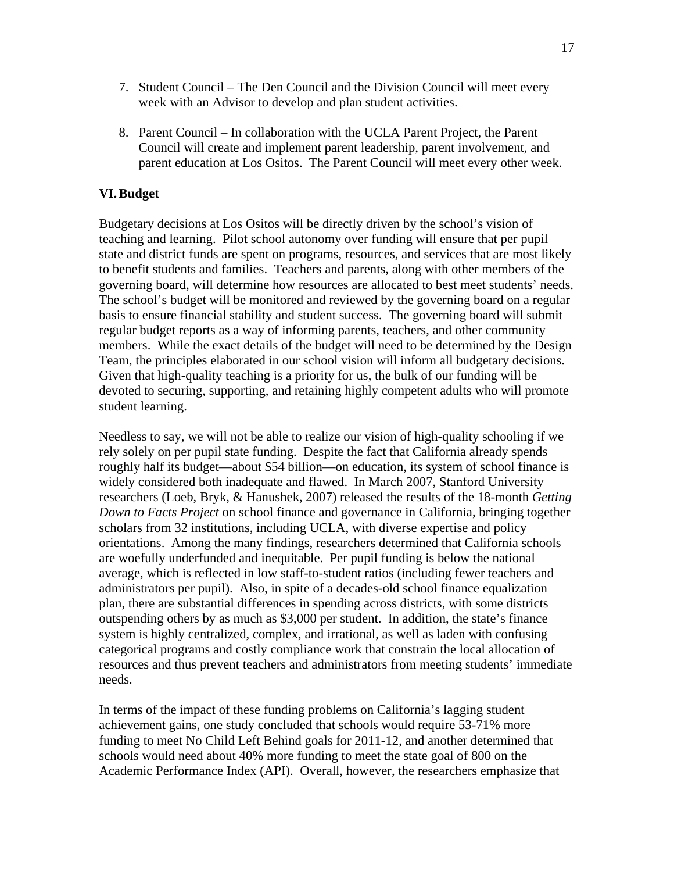- 7. Student Council The Den Council and the Division Council will meet every week with an Advisor to develop and plan student activities.
- 8. Parent Council In collaboration with the UCLA Parent Project, the Parent Council will create and implement parent leadership, parent involvement, and parent education at Los Ositos. The Parent Council will meet every other week.

## **VI.Budget**

Budgetary decisions at Los Ositos will be directly driven by the school's vision of teaching and learning. Pilot school autonomy over funding will ensure that per pupil state and district funds are spent on programs, resources, and services that are most likely to benefit students and families. Teachers and parents, along with other members of the governing board, will determine how resources are allocated to best meet students' needs. The school's budget will be monitored and reviewed by the governing board on a regular basis to ensure financial stability and student success. The governing board will submit regular budget reports as a way of informing parents, teachers, and other community members. While the exact details of the budget will need to be determined by the Design Team, the principles elaborated in our school vision will inform all budgetary decisions. Given that high-quality teaching is a priority for us, the bulk of our funding will be devoted to securing, supporting, and retaining highly competent adults who will promote student learning.

Needless to say, we will not be able to realize our vision of high-quality schooling if we rely solely on per pupil state funding. Despite the fact that California already spends roughly half its budget—about \$54 billion—on education, its system of school finance is widely considered both inadequate and flawed. In March 2007, Stanford University researchers (Loeb, Bryk, & Hanushek, 2007) released the results of the 18-month *Getting Down to Facts Project* on school finance and governance in California, bringing together scholars from 32 institutions, including UCLA, with diverse expertise and policy orientations. Among the many findings, researchers determined that California schools are woefully underfunded and inequitable. Per pupil funding is below the national average, which is reflected in low staff-to-student ratios (including fewer teachers and administrators per pupil). Also, in spite of a decades-old school finance equalization plan, there are substantial differences in spending across districts, with some districts outspending others by as much as \$3,000 per student. In addition, the state's finance system is highly centralized, complex, and irrational, as well as laden with confusing categorical programs and costly compliance work that constrain the local allocation of resources and thus prevent teachers and administrators from meeting students' immediate needs.

In terms of the impact of these funding problems on California's lagging student achievement gains, one study concluded that schools would require 53-71% more funding to meet No Child Left Behind goals for 2011-12, and another determined that schools would need about 40% more funding to meet the state goal of 800 on the Academic Performance Index (API). Overall, however, the researchers emphasize that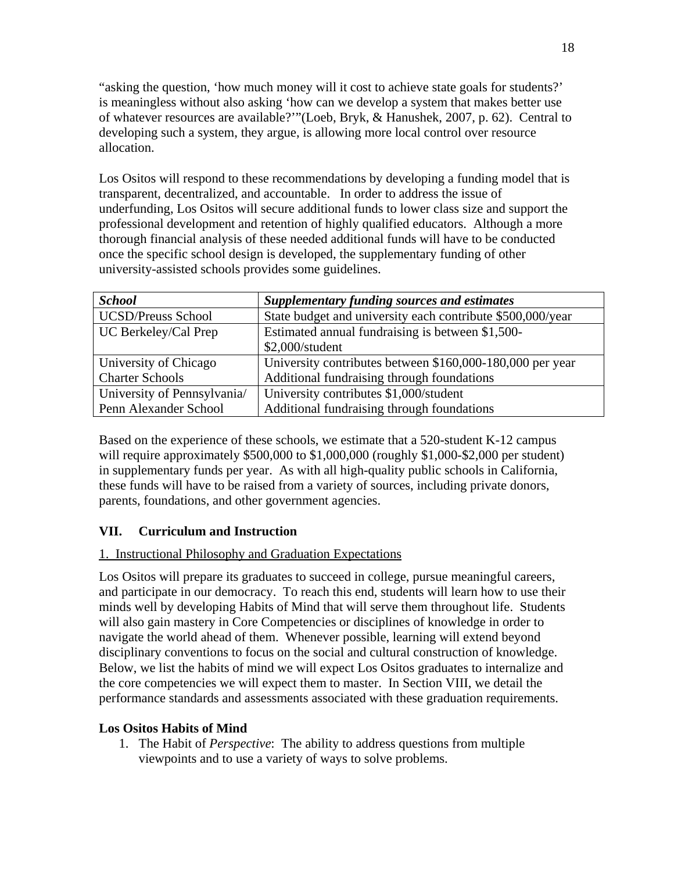"asking the question, 'how much money will it cost to achieve state goals for students?' is meaningless without also asking 'how can we develop a system that makes better use of whatever resources are available?'"(Loeb, Bryk, & Hanushek, 2007, p. 62). Central to developing such a system, they argue, is allowing more local control over resource allocation.

Los Ositos will respond to these recommendations by developing a funding model that is transparent, decentralized, and accountable. In order to address the issue of underfunding, Los Ositos will secure additional funds to lower class size and support the professional development and retention of highly qualified educators. Although a more thorough financial analysis of these needed additional funds will have to be conducted once the specific school design is developed, the supplementary funding of other university-assisted schools provides some guidelines.

| <b>School</b>               | <b>Supplementary funding sources and estimates</b>         |
|-----------------------------|------------------------------------------------------------|
| <b>UCSD/Preuss School</b>   | State budget and university each contribute \$500,000/year |
| UC Berkeley/Cal Prep        | Estimated annual fundraising is between \$1,500-           |
|                             | \$2,000/student                                            |
| University of Chicago       | University contributes between \$160,000-180,000 per year  |
| <b>Charter Schools</b>      | Additional fundraising through foundations                 |
| University of Pennsylvania/ | University contributes \$1,000/student                     |
| Penn Alexander School       | Additional fundraising through foundations                 |

Based on the experience of these schools, we estimate that a 520-student K-12 campus will require approximately \$500,000 to \$1,000,000 (roughly \$1,000-\$2,000 per student) in supplementary funds per year. As with all high-quality public schools in California, these funds will have to be raised from a variety of sources, including private donors, parents, foundations, and other government agencies.

# **VII. Curriculum and Instruction**

## 1. Instructional Philosophy and Graduation Expectations

Los Ositos will prepare its graduates to succeed in college, pursue meaningful careers, and participate in our democracy. To reach this end, students will learn how to use their minds well by developing Habits of Mind that will serve them throughout life. Students will also gain mastery in Core Competencies or disciplines of knowledge in order to navigate the world ahead of them. Whenever possible, learning will extend beyond disciplinary conventions to focus on the social and cultural construction of knowledge. Below, we list the habits of mind we will expect Los Ositos graduates to internalize and the core competencies we will expect them to master. In Section VIII, we detail the performance standards and assessments associated with these graduation requirements.

## **Los Ositos Habits of Mind**

1. The Habit of *Perspective*: The ability to address questions from multiple viewpoints and to use a variety of ways to solve problems.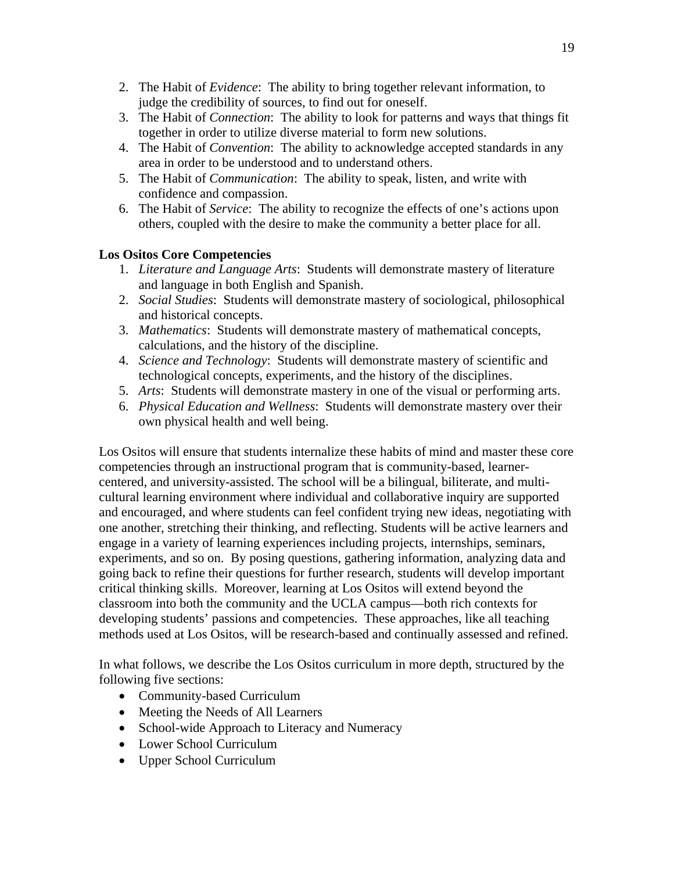- 2. The Habit of *Evidence*: The ability to bring together relevant information, to judge the credibility of sources, to find out for oneself.
- 3. The Habit of *Connection*: The ability to look for patterns and ways that things fit together in order to utilize diverse material to form new solutions.
- 4. The Habit of *Convention*: The ability to acknowledge accepted standards in any area in order to be understood and to understand others.
- 5. The Habit of *Communication*: The ability to speak, listen, and write with confidence and compassion.
- 6. The Habit of *Service*: The ability to recognize the effects of one's actions upon others, coupled with the desire to make the community a better place for all.

# **Los Ositos Core Competencies**

- 1. *Literature and Language Arts*: Students will demonstrate mastery of literature and language in both English and Spanish.
- 2. *Social Studies*: Students will demonstrate mastery of sociological, philosophical and historical concepts.
- 3. *Mathematics*: Students will demonstrate mastery of mathematical concepts, calculations, and the history of the discipline.
- 4. *Science and Technology*: Students will demonstrate mastery of scientific and technological concepts, experiments, and the history of the disciplines.
- 5. *Arts*: Students will demonstrate mastery in one of the visual or performing arts.
- 6. *Physical Education and Wellness*: Students will demonstrate mastery over their own physical health and well being.

Los Ositos will ensure that students internalize these habits of mind and master these core competencies through an instructional program that is community-based, learnercentered, and university-assisted. The school will be a bilingual, biliterate, and multicultural learning environment where individual and collaborative inquiry are supported and encouraged, and where students can feel confident trying new ideas, negotiating with one another, stretching their thinking, and reflecting. Students will be active learners and engage in a variety of learning experiences including projects, internships, seminars, experiments, and so on. By posing questions, gathering information, analyzing data and going back to refine their questions for further research, students will develop important critical thinking skills. Moreover, learning at Los Ositos will extend beyond the classroom into both the community and the UCLA campus—both rich contexts for developing students' passions and competencies. These approaches, like all teaching methods used at Los Ositos, will be research-based and continually assessed and refined.

In what follows, we describe the Los Ositos curriculum in more depth, structured by the following five sections:

- Community-based Curriculum
- Meeting the Needs of All Learners
- School-wide Approach to Literacy and Numeracy
- Lower School Curriculum
- Upper School Curriculum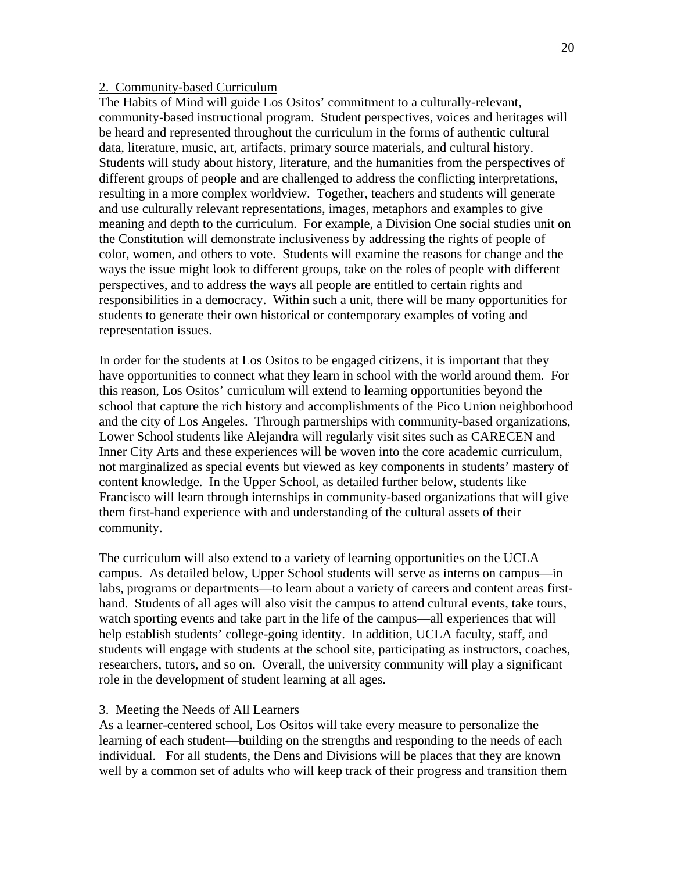#### 2. Community-based Curriculum

The Habits of Mind will guide Los Ositos' commitment to a culturally-relevant, community-based instructional program. Student perspectives, voices and heritages will be heard and represented throughout the curriculum in the forms of authentic cultural data, literature, music, art, artifacts, primary source materials, and cultural history. Students will study about history, literature, and the humanities from the perspectives of different groups of people and are challenged to address the conflicting interpretations, resulting in a more complex worldview. Together, teachers and students will generate and use culturally relevant representations, images, metaphors and examples to give meaning and depth to the curriculum. For example, a Division One social studies unit on the Constitution will demonstrate inclusiveness by addressing the rights of people of color, women, and others to vote. Students will examine the reasons for change and the ways the issue might look to different groups, take on the roles of people with different perspectives, and to address the ways all people are entitled to certain rights and responsibilities in a democracy. Within such a unit, there will be many opportunities for students to generate their own historical or contemporary examples of voting and representation issues.

In order for the students at Los Ositos to be engaged citizens, it is important that they have opportunities to connect what they learn in school with the world around them. For this reason, Los Ositos' curriculum will extend to learning opportunities beyond the school that capture the rich history and accomplishments of the Pico Union neighborhood and the city of Los Angeles. Through partnerships with community-based organizations, Lower School students like Alejandra will regularly visit sites such as CARECEN and Inner City Arts and these experiences will be woven into the core academic curriculum, not marginalized as special events but viewed as key components in students' mastery of content knowledge. In the Upper School, as detailed further below, students like Francisco will learn through internships in community-based organizations that will give them first-hand experience with and understanding of the cultural assets of their community.

The curriculum will also extend to a variety of learning opportunities on the UCLA campus. As detailed below, Upper School students will serve as interns on campus—in labs, programs or departments—to learn about a variety of careers and content areas firsthand. Students of all ages will also visit the campus to attend cultural events, take tours, watch sporting events and take part in the life of the campus—all experiences that will help establish students' college-going identity. In addition, UCLA faculty, staff, and students will engage with students at the school site, participating as instructors, coaches, researchers, tutors, and so on. Overall, the university community will play a significant role in the development of student learning at all ages.

#### 3. Meeting the Needs of All Learners

As a learner-centered school, Los Ositos will take every measure to personalize the learning of each student—building on the strengths and responding to the needs of each individual. For all students, the Dens and Divisions will be places that they are known well by a common set of adults who will keep track of their progress and transition them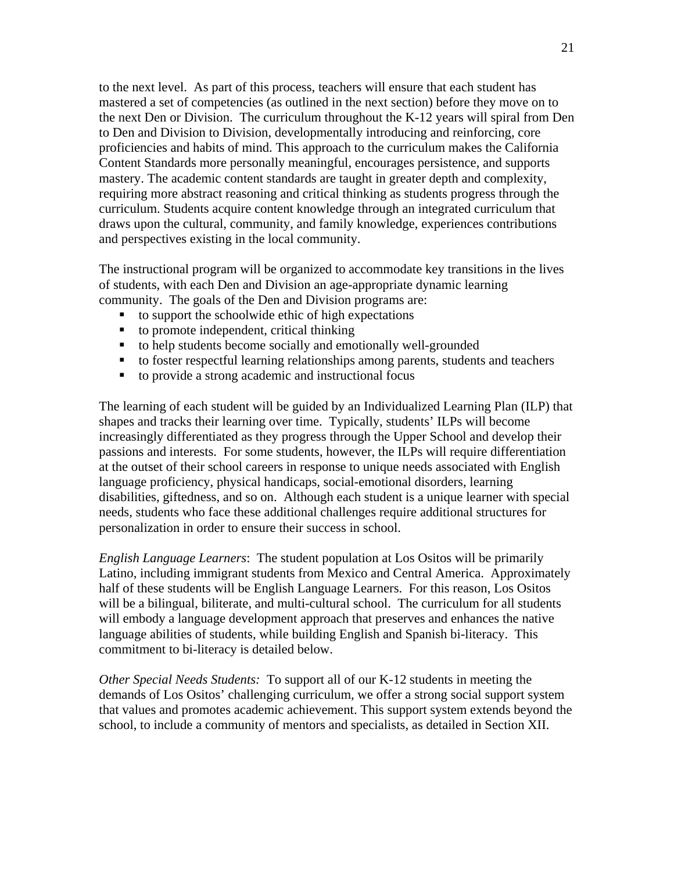to the next level. As part of this process, teachers will ensure that each student has mastered a set of competencies (as outlined in the next section) before they move on to the next Den or Division. The curriculum throughout the K-12 years will spiral from Den to Den and Division to Division, developmentally introducing and reinforcing, core proficiencies and habits of mind. This approach to the curriculum makes the California Content Standards more personally meaningful, encourages persistence, and supports mastery. The academic content standards are taught in greater depth and complexity, requiring more abstract reasoning and critical thinking as students progress through the curriculum. Students acquire content knowledge through an integrated curriculum that draws upon the cultural, community, and family knowledge, experiences contributions and perspectives existing in the local community.

The instructional program will be organized to accommodate key transitions in the lives of students, with each Den and Division an age-appropriate dynamic learning community. The goals of the Den and Division programs are:

- to support the schoolwide ethic of high expectations
- $\blacksquare$  to promote independent, critical thinking
- to help students become socially and emotionally well-grounded
- to foster respectful learning relationships among parents, students and teachers
- to provide a strong academic and instructional focus

The learning of each student will be guided by an Individualized Learning Plan (ILP) that shapes and tracks their learning over time. Typically, students' ILPs will become increasingly differentiated as they progress through the Upper School and develop their passions and interests. For some students, however, the ILPs will require differentiation at the outset of their school careers in response to unique needs associated with English language proficiency, physical handicaps, social-emotional disorders, learning disabilities, giftedness, and so on. Although each student is a unique learner with special needs, students who face these additional challenges require additional structures for personalization in order to ensure their success in school.

*English Language Learners*: The student population at Los Ositos will be primarily Latino, including immigrant students from Mexico and Central America. Approximately half of these students will be English Language Learners. For this reason, Los Ositos will be a bilingual, biliterate, and multi-cultural school. The curriculum for all students will embody a language development approach that preserves and enhances the native language abilities of students, while building English and Spanish bi-literacy. This commitment to bi-literacy is detailed below.

*Other Special Needs Students:* To support all of our K-12 students in meeting the demands of Los Ositos' challenging curriculum, we offer a strong social support system that values and promotes academic achievement. This support system extends beyond the school, to include a community of mentors and specialists, as detailed in Section XII.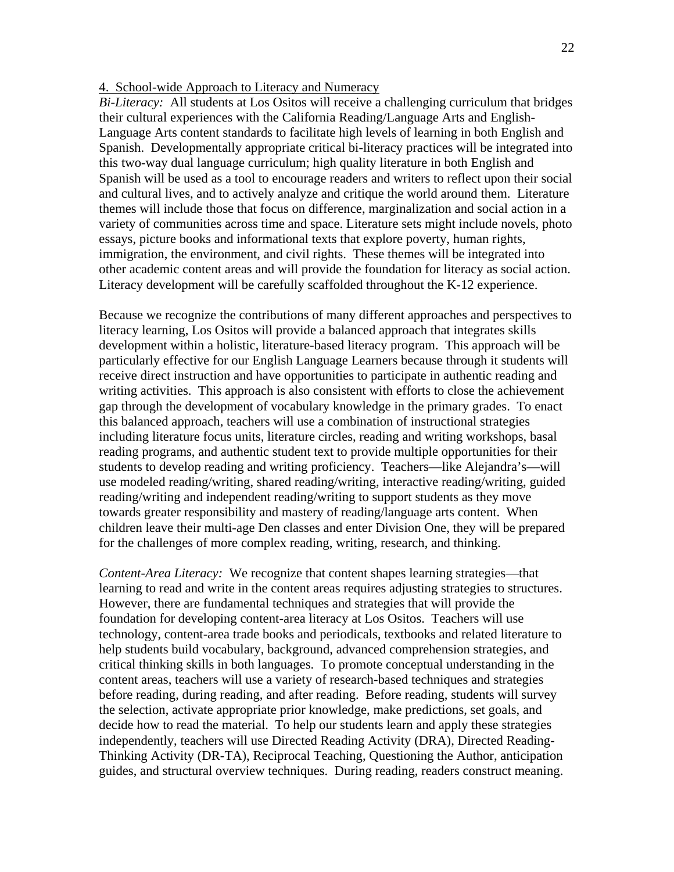#### 4. School-wide Approach to Literacy and Numeracy

*Bi-Literacy:* All students at Los Ositos will receive a challenging curriculum that bridges their cultural experiences with the California Reading/Language Arts and English-Language Arts content standards to facilitate high levels of learning in both English and Spanish. Developmentally appropriate critical bi-literacy practices will be integrated into this two-way dual language curriculum; high quality literature in both English and Spanish will be used as a tool to encourage readers and writers to reflect upon their social and cultural lives, and to actively analyze and critique the world around them. Literature themes will include those that focus on difference, marginalization and social action in a variety of communities across time and space. Literature sets might include novels, photo essays, picture books and informational texts that explore poverty, human rights, immigration, the environment, and civil rights. These themes will be integrated into other academic content areas and will provide the foundation for literacy as social action. Literacy development will be carefully scaffolded throughout the K-12 experience.

Because we recognize the contributions of many different approaches and perspectives to literacy learning, Los Ositos will provide a balanced approach that integrates skills development within a holistic, literature-based literacy program. This approach will be particularly effective for our English Language Learners because through it students will receive direct instruction and have opportunities to participate in authentic reading and writing activities. This approach is also consistent with efforts to close the achievement gap through the development of vocabulary knowledge in the primary grades. To enact this balanced approach, teachers will use a combination of instructional strategies including literature focus units, literature circles, reading and writing workshops, basal reading programs, and authentic student text to provide multiple opportunities for their students to develop reading and writing proficiency. Teachers—like Alejandra's—will use modeled reading/writing, shared reading/writing, interactive reading/writing, guided reading/writing and independent reading/writing to support students as they move towards greater responsibility and mastery of reading/language arts content. When children leave their multi-age Den classes and enter Division One, they will be prepared for the challenges of more complex reading, writing, research, and thinking.

*Content-Area Literacy:* We recognize that content shapes learning strategies—that learning to read and write in the content areas requires adjusting strategies to structures. However, there are fundamental techniques and strategies that will provide the foundation for developing content-area literacy at Los Ositos. Teachers will use technology, content-area trade books and periodicals, textbooks and related literature to help students build vocabulary, background, advanced comprehension strategies, and critical thinking skills in both languages. To promote conceptual understanding in the content areas, teachers will use a variety of research-based techniques and strategies before reading, during reading, and after reading. Before reading, students will survey the selection, activate appropriate prior knowledge, make predictions, set goals, and decide how to read the material. To help our students learn and apply these strategies independently, teachers will use Directed Reading Activity (DRA), Directed Reading-Thinking Activity (DR-TA), Reciprocal Teaching, Questioning the Author, anticipation guides, and structural overview techniques. During reading, readers construct meaning.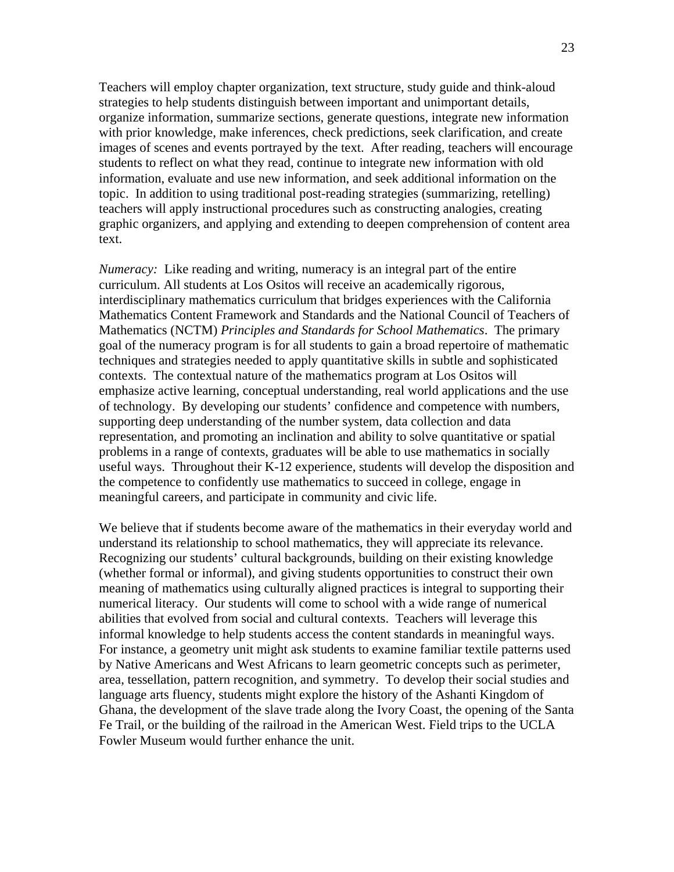Teachers will employ chapter organization, text structure, study guide and think-aloud strategies to help students distinguish between important and unimportant details, organize information, summarize sections, generate questions, integrate new information with prior knowledge, make inferences, check predictions, seek clarification, and create images of scenes and events portrayed by the text. After reading, teachers will encourage students to reflect on what they read, continue to integrate new information with old information, evaluate and use new information, and seek additional information on the topic. In addition to using traditional post-reading strategies (summarizing, retelling) teachers will apply instructional procedures such as constructing analogies, creating graphic organizers, and applying and extending to deepen comprehension of content area text.

*Numeracy:* Like reading and writing, numeracy is an integral part of the entire curriculum. All students at Los Ositos will receive an academically rigorous, interdisciplinary mathematics curriculum that bridges experiences with the California Mathematics Content Framework and Standards and the National Council of Teachers of Mathematics (NCTM) *Principles and Standards for School Mathematics*. The primary goal of the numeracy program is for all students to gain a broad repertoire of mathematic techniques and strategies needed to apply quantitative skills in subtle and sophisticated contexts. The contextual nature of the mathematics program at Los Ositos will emphasize active learning, conceptual understanding, real world applications and the use of technology. By developing our students' confidence and competence with numbers, supporting deep understanding of the number system, data collection and data representation, and promoting an inclination and ability to solve quantitative or spatial problems in a range of contexts, graduates will be able to use mathematics in socially useful ways. Throughout their K-12 experience, students will develop the disposition and the competence to confidently use mathematics to succeed in college, engage in meaningful careers, and participate in community and civic life.

We believe that if students become aware of the mathematics in their everyday world and understand its relationship to school mathematics, they will appreciate its relevance. Recognizing our students' cultural backgrounds, building on their existing knowledge (whether formal or informal), and giving students opportunities to construct their own meaning of mathematics using culturally aligned practices is integral to supporting their numerical literacy. Our students will come to school with a wide range of numerical abilities that evolved from social and cultural contexts. Teachers will leverage this informal knowledge to help students access the content standards in meaningful ways. For instance, a geometry unit might ask students to examine familiar textile patterns used by Native Americans and West Africans to learn geometric concepts such as perimeter, area, tessellation, pattern recognition, and symmetry. To develop their social studies and language arts fluency, students might explore the history of the Ashanti Kingdom of Ghana, the development of the slave trade along the Ivory Coast, the opening of the Santa Fe Trail, or the building of the railroad in the American West. Field trips to the UCLA Fowler Museum would further enhance the unit.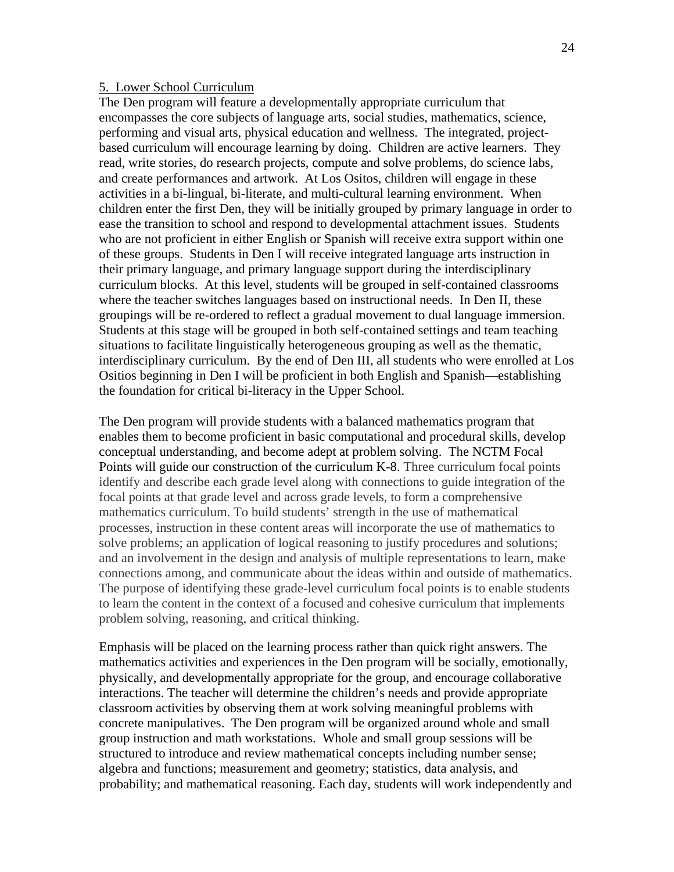#### 5. Lower School Curriculum

The Den program will feature a developmentally appropriate curriculum that encompasses the core subjects of language arts, social studies, mathematics, science, performing and visual arts, physical education and wellness. The integrated, projectbased curriculum will encourage learning by doing. Children are active learners. They read, write stories, do research projects, compute and solve problems, do science labs, and create performances and artwork. At Los Ositos, children will engage in these activities in a bi-lingual, bi-literate, and multi-cultural learning environment. When children enter the first Den, they will be initially grouped by primary language in order to ease the transition to school and respond to developmental attachment issues. Students who are not proficient in either English or Spanish will receive extra support within one of these groups. Students in Den I will receive integrated language arts instruction in their primary language, and primary language support during the interdisciplinary curriculum blocks. At this level, students will be grouped in self-contained classrooms where the teacher switches languages based on instructional needs. In Den II, these groupings will be re-ordered to reflect a gradual movement to dual language immersion. Students at this stage will be grouped in both self-contained settings and team teaching situations to facilitate linguistically heterogeneous grouping as well as the thematic, interdisciplinary curriculum. By the end of Den III, all students who were enrolled at Los Ositios beginning in Den I will be proficient in both English and Spanish—establishing the foundation for critical bi-literacy in the Upper School.

The Den program will provide students with a balanced mathematics program that enables them to become proficient in basic computational and procedural skills, develop conceptual understanding, and become adept at problem solving. The NCTM Focal Points will guide our construction of the curriculum K-8. Three curriculum focal points identify and describe each grade level along with connections to guide integration of the focal points at that grade level and across grade levels, to form a comprehensive mathematics curriculum. To build students' strength in the use of mathematical processes, instruction in these content areas will incorporate the use of mathematics to solve problems; an application of logical reasoning to justify procedures and solutions; and an involvement in the design and analysis of multiple representations to learn, make connections among, and communicate about the ideas within and outside of mathematics. The purpose of identifying these grade-level curriculum focal points is to enable students to learn the content in the context of a focused and cohesive curriculum that implements problem solving, reasoning, and critical thinking.

Emphasis will be placed on the learning process rather than quick right answers. The mathematics activities and experiences in the Den program will be socially, emotionally, physically, and developmentally appropriate for the group, and encourage collaborative interactions. The teacher will determine the children's needs and provide appropriate classroom activities by observing them at work solving meaningful problems with concrete manipulatives. The Den program will be organized around whole and small group instruction and math workstations. Whole and small group sessions will be structured to introduce and review mathematical concepts including number sense; algebra and functions; measurement and geometry; statistics, data analysis, and probability; and mathematical reasoning. Each day, students will work independently and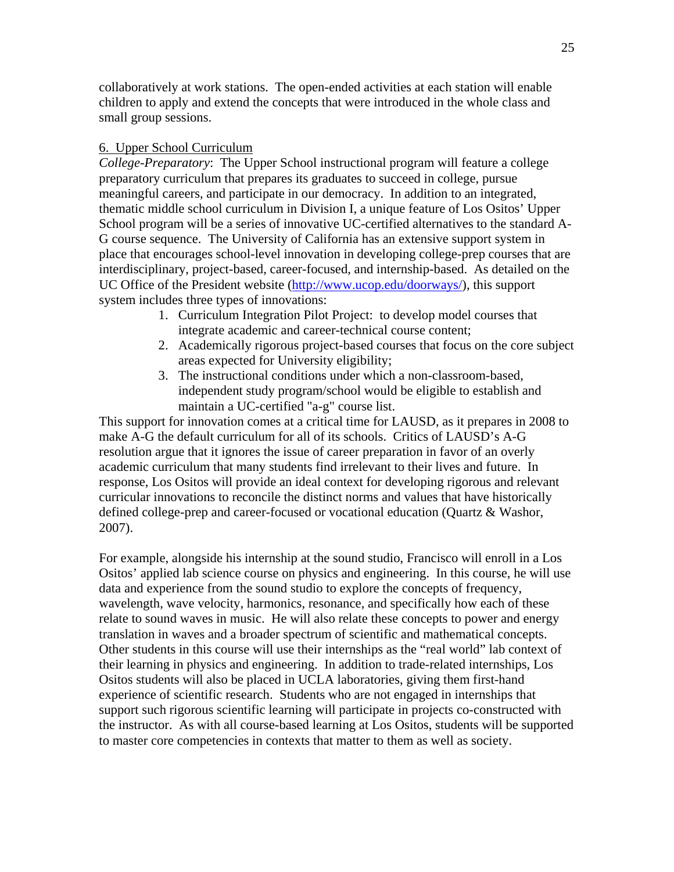collaboratively at work stations. The open-ended activities at each station will enable children to apply and extend the concepts that were introduced in the whole class and small group sessions.

### 6. Upper School Curriculum

*College-Preparatory*: The Upper School instructional program will feature a college preparatory curriculum that prepares its graduates to succeed in college, pursue meaningful careers, and participate in our democracy. In addition to an integrated, thematic middle school curriculum in Division I, a unique feature of Los Ositos' Upper School program will be a series of innovative UC-certified alternatives to the standard A-G course sequence. The University of California has an extensive support system in place that encourages school-level innovation in developing college-prep courses that are interdisciplinary, project-based, career-focused, and internship-based. As detailed on the UC Office of the President website (http://www.ucop.edu/doorways/), this support system includes three types of innovations:

- 1. Curriculum Integration Pilot Project: to develop model courses that integrate academic and career-technical course content;
- 2. Academically rigorous project-based courses that focus on the core subject areas expected for University eligibility;
- 3. The instructional conditions under which a non-classroom-based, independent study program/school would be eligible to establish and maintain a UC-certified "a-g" course list.

This support for innovation comes at a critical time for LAUSD, as it prepares in 2008 to make A-G the default curriculum for all of its schools. Critics of LAUSD's A-G resolution argue that it ignores the issue of career preparation in favor of an overly academic curriculum that many students find irrelevant to their lives and future. In response, Los Ositos will provide an ideal context for developing rigorous and relevant curricular innovations to reconcile the distinct norms and values that have historically defined college-prep and career-focused or vocational education (Quartz & Washor, 2007).

For example, alongside his internship at the sound studio, Francisco will enroll in a Los Ositos' applied lab science course on physics and engineering. In this course, he will use data and experience from the sound studio to explore the concepts of frequency, wavelength, wave velocity, harmonics, resonance, and specifically how each of these relate to sound waves in music. He will also relate these concepts to power and energy translation in waves and a broader spectrum of scientific and mathematical concepts. Other students in this course will use their internships as the "real world" lab context of their learning in physics and engineering. In addition to trade-related internships, Los Ositos students will also be placed in UCLA laboratories, giving them first-hand experience of scientific research. Students who are not engaged in internships that support such rigorous scientific learning will participate in projects co-constructed with the instructor. As with all course-based learning at Los Ositos, students will be supported to master core competencies in contexts that matter to them as well as society.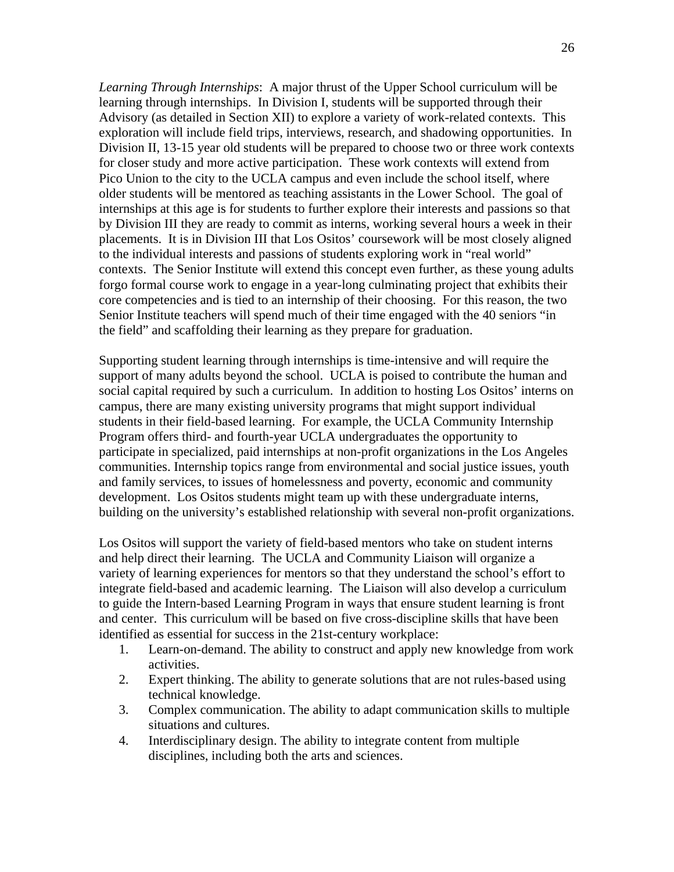*Learning Through Internships*: A major thrust of the Upper School curriculum will be learning through internships. In Division I, students will be supported through their Advisory (as detailed in Section XII) to explore a variety of work-related contexts. This exploration will include field trips, interviews, research, and shadowing opportunities. In Division II, 13-15 year old students will be prepared to choose two or three work contexts for closer study and more active participation. These work contexts will extend from Pico Union to the city to the UCLA campus and even include the school itself, where older students will be mentored as teaching assistants in the Lower School. The goal of internships at this age is for students to further explore their interests and passions so that by Division III they are ready to commit as interns, working several hours a week in their placements. It is in Division III that Los Ositos' coursework will be most closely aligned to the individual interests and passions of students exploring work in "real world" contexts. The Senior Institute will extend this concept even further, as these young adults forgo formal course work to engage in a year-long culminating project that exhibits their core competencies and is tied to an internship of their choosing. For this reason, the two Senior Institute teachers will spend much of their time engaged with the 40 seniors "in the field" and scaffolding their learning as they prepare for graduation.

Supporting student learning through internships is time-intensive and will require the support of many adults beyond the school. UCLA is poised to contribute the human and social capital required by such a curriculum. In addition to hosting Los Ositos' interns on campus, there are many existing university programs that might support individual students in their field-based learning. For example, the UCLA Community Internship Program offers third- and fourth-year UCLA undergraduates the opportunity to participate in specialized, paid internships at non-profit organizations in the Los Angeles communities. Internship topics range from environmental and social justice issues, youth and family services, to issues of homelessness and poverty, economic and community development. Los Ositos students might team up with these undergraduate interns, building on the university's established relationship with several non-profit organizations.

Los Ositos will support the variety of field-based mentors who take on student interns and help direct their learning. The UCLA and Community Liaison will organize a variety of learning experiences for mentors so that they understand the school's effort to integrate field-based and academic learning. The Liaison will also develop a curriculum to guide the Intern-based Learning Program in ways that ensure student learning is front and center. This curriculum will be based on five cross-discipline skills that have been identified as essential for success in the 21st-century workplace:

- 1. Learn-on-demand. The ability to construct and apply new knowledge from work activities.
- 2. Expert thinking. The ability to generate solutions that are not rules-based using technical knowledge.
- 3. Complex communication. The ability to adapt communication skills to multiple situations and cultures.
- 4. Interdisciplinary design. The ability to integrate content from multiple disciplines, including both the arts and sciences.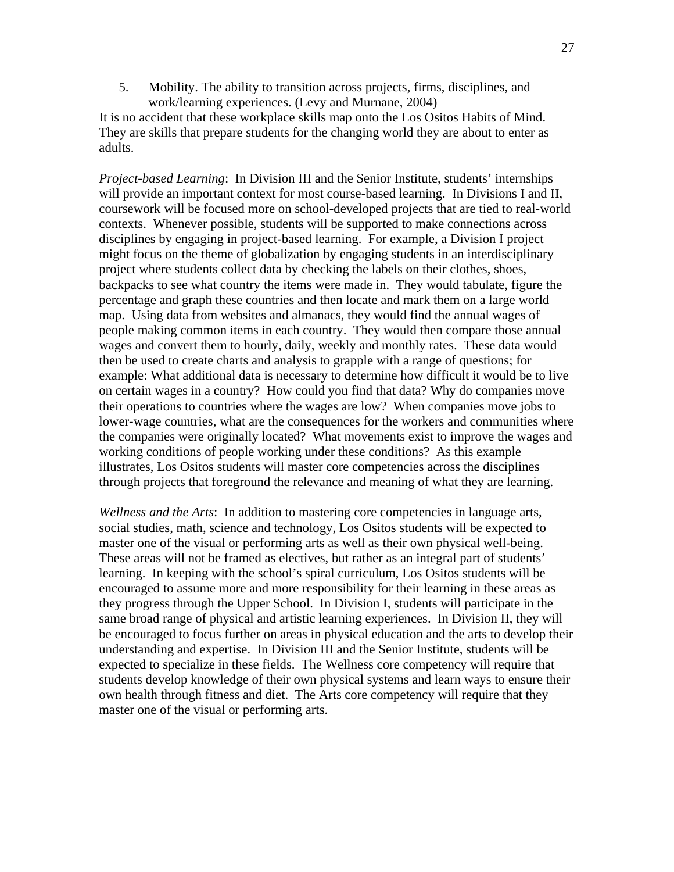5. Mobility. The ability to transition across projects, firms, disciplines, and work/learning experiences. (Levy and Murnane, 2004)

It is no accident that these workplace skills map onto the Los Ositos Habits of Mind. They are skills that prepare students for the changing world they are about to enter as adults.

*Project-based Learning*: In Division III and the Senior Institute, students' internships will provide an important context for most course-based learning. In Divisions I and II, coursework will be focused more on school-developed projects that are tied to real-world contexts. Whenever possible, students will be supported to make connections across disciplines by engaging in project-based learning. For example, a Division I project might focus on the theme of globalization by engaging students in an interdisciplinary project where students collect data by checking the labels on their clothes, shoes, backpacks to see what country the items were made in. They would tabulate, figure the percentage and graph these countries and then locate and mark them on a large world map. Using data from websites and almanacs, they would find the annual wages of people making common items in each country. They would then compare those annual wages and convert them to hourly, daily, weekly and monthly rates. These data would then be used to create charts and analysis to grapple with a range of questions; for example: What additional data is necessary to determine how difficult it would be to live on certain wages in a country? How could you find that data? Why do companies move their operations to countries where the wages are low? When companies move jobs to lower-wage countries, what are the consequences for the workers and communities where the companies were originally located? What movements exist to improve the wages and working conditions of people working under these conditions? As this example illustrates, Los Ositos students will master core competencies across the disciplines through projects that foreground the relevance and meaning of what they are learning.

*Wellness and the Arts*: In addition to mastering core competencies in language arts, social studies, math, science and technology, Los Ositos students will be expected to master one of the visual or performing arts as well as their own physical well-being. These areas will not be framed as electives, but rather as an integral part of students' learning. In keeping with the school's spiral curriculum, Los Ositos students will be encouraged to assume more and more responsibility for their learning in these areas as they progress through the Upper School. In Division I, students will participate in the same broad range of physical and artistic learning experiences. In Division II, they will be encouraged to focus further on areas in physical education and the arts to develop their understanding and expertise. In Division III and the Senior Institute, students will be expected to specialize in these fields. The Wellness core competency will require that students develop knowledge of their own physical systems and learn ways to ensure their own health through fitness and diet. The Arts core competency will require that they master one of the visual or performing arts.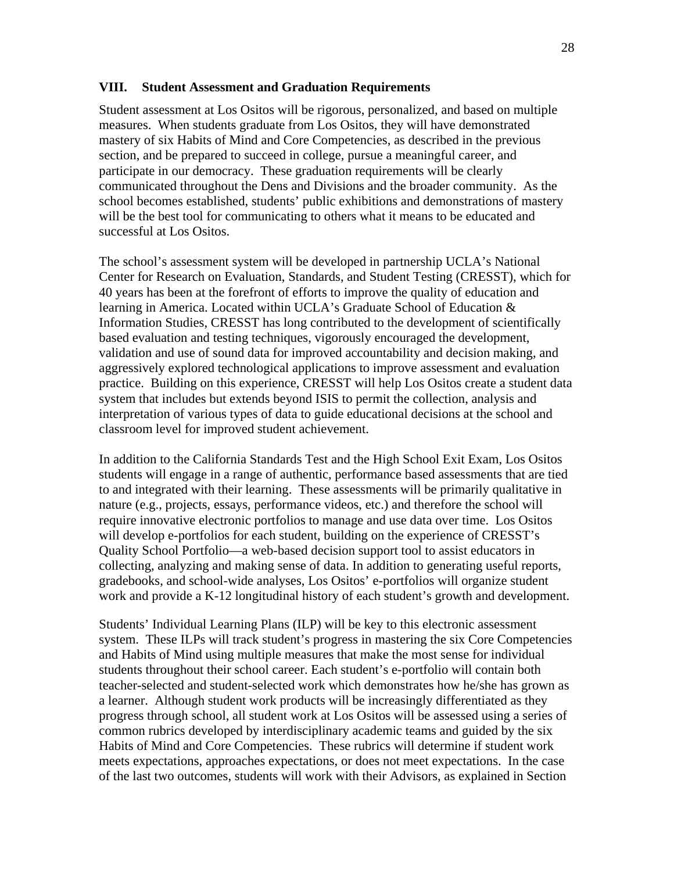#### **VIII. Student Assessment and Graduation Requirements**

Student assessment at Los Ositos will be rigorous, personalized, and based on multiple measures. When students graduate from Los Ositos, they will have demonstrated mastery of six Habits of Mind and Core Competencies, as described in the previous section, and be prepared to succeed in college, pursue a meaningful career, and participate in our democracy. These graduation requirements will be clearly communicated throughout the Dens and Divisions and the broader community. As the school becomes established, students' public exhibitions and demonstrations of mastery will be the best tool for communicating to others what it means to be educated and successful at Los Ositos.

The school's assessment system will be developed in partnership UCLA's National Center for Research on Evaluation, Standards, and Student Testing (CRESST), which for 40 years has been at the forefront of efforts to improve the quality of education and learning in America. Located within UCLA's Graduate School of Education & Information Studies, CRESST has long contributed to the development of scientifically based evaluation and testing techniques, vigorously encouraged the development, validation and use of sound data for improved accountability and decision making, and aggressively explored technological applications to improve assessment and evaluation practice. Building on this experience, CRESST will help Los Ositos create a student data system that includes but extends beyond ISIS to permit the collection, analysis and interpretation of various types of data to guide educational decisions at the school and classroom level for improved student achievement.

In addition to the California Standards Test and the High School Exit Exam, Los Ositos students will engage in a range of authentic, performance based assessments that are tied to and integrated with their learning. These assessments will be primarily qualitative in nature (e.g., projects, essays, performance videos, etc.) and therefore the school will require innovative electronic portfolios to manage and use data over time. Los Ositos will develop e-portfolios for each student, building on the experience of CRESST's Quality School Portfolio—a web-based decision support tool to assist educators in collecting, analyzing and making sense of data. In addition to generating useful reports, gradebooks, and school-wide analyses, Los Ositos' e-portfolios will organize student work and provide a K-12 longitudinal history of each student's growth and development.

Students' Individual Learning Plans (ILP) will be key to this electronic assessment system. These ILPs will track student's progress in mastering the six Core Competencies and Habits of Mind using multiple measures that make the most sense for individual students throughout their school career. Each student's e-portfolio will contain both teacher-selected and student-selected work which demonstrates how he/she has grown as a learner. Although student work products will be increasingly differentiated as they progress through school, all student work at Los Ositos will be assessed using a series of common rubrics developed by interdisciplinary academic teams and guided by the six Habits of Mind and Core Competencies. These rubrics will determine if student work meets expectations, approaches expectations, or does not meet expectations. In the case of the last two outcomes, students will work with their Advisors, as explained in Section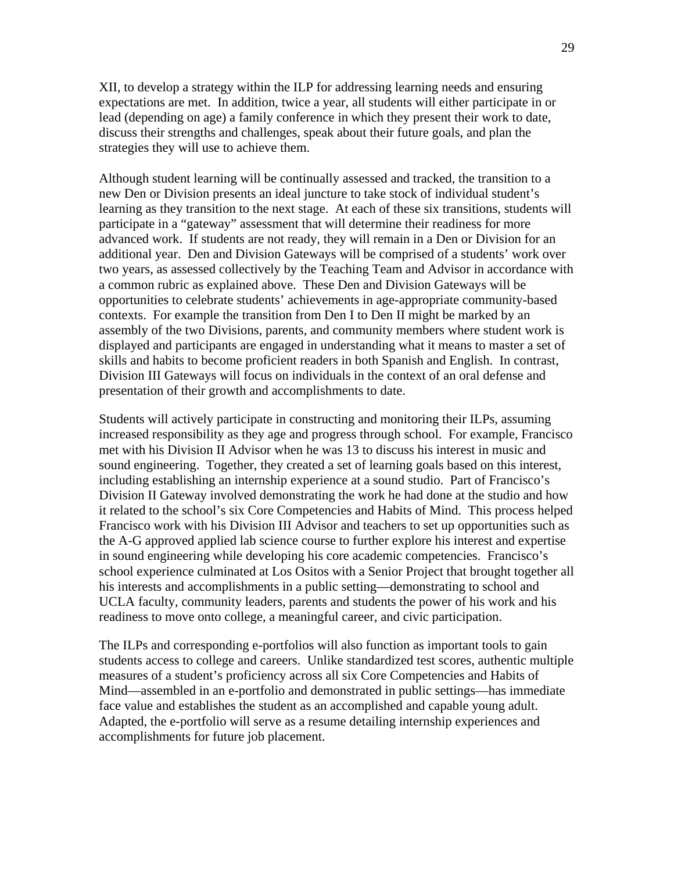XII, to develop a strategy within the ILP for addressing learning needs and ensuring expectations are met. In addition, twice a year, all students will either participate in or lead (depending on age) a family conference in which they present their work to date, discuss their strengths and challenges, speak about their future goals, and plan the strategies they will use to achieve them.

Although student learning will be continually assessed and tracked, the transition to a new Den or Division presents an ideal juncture to take stock of individual student's learning as they transition to the next stage. At each of these six transitions, students will participate in a "gateway" assessment that will determine their readiness for more advanced work. If students are not ready, they will remain in a Den or Division for an additional year. Den and Division Gateways will be comprised of a students' work over two years, as assessed collectively by the Teaching Team and Advisor in accordance with a common rubric as explained above. These Den and Division Gateways will be opportunities to celebrate students' achievements in age-appropriate community-based contexts. For example the transition from Den I to Den II might be marked by an assembly of the two Divisions, parents, and community members where student work is displayed and participants are engaged in understanding what it means to master a set of skills and habits to become proficient readers in both Spanish and English. In contrast, Division III Gateways will focus on individuals in the context of an oral defense and presentation of their growth and accomplishments to date.

Students will actively participate in constructing and monitoring their ILPs, assuming increased responsibility as they age and progress through school. For example, Francisco met with his Division II Advisor when he was 13 to discuss his interest in music and sound engineering. Together, they created a set of learning goals based on this interest, including establishing an internship experience at a sound studio. Part of Francisco's Division II Gateway involved demonstrating the work he had done at the studio and how it related to the school's six Core Competencies and Habits of Mind. This process helped Francisco work with his Division III Advisor and teachers to set up opportunities such as the A-G approved applied lab science course to further explore his interest and expertise in sound engineering while developing his core academic competencies. Francisco's school experience culminated at Los Ositos with a Senior Project that brought together all his interests and accomplishments in a public setting—demonstrating to school and UCLA faculty, community leaders, parents and students the power of his work and his readiness to move onto college, a meaningful career, and civic participation.

The ILPs and corresponding e-portfolios will also function as important tools to gain students access to college and careers. Unlike standardized test scores, authentic multiple measures of a student's proficiency across all six Core Competencies and Habits of Mind—assembled in an e-portfolio and demonstrated in public settings—has immediate face value and establishes the student as an accomplished and capable young adult. Adapted, the e-portfolio will serve as a resume detailing internship experiences and accomplishments for future job placement.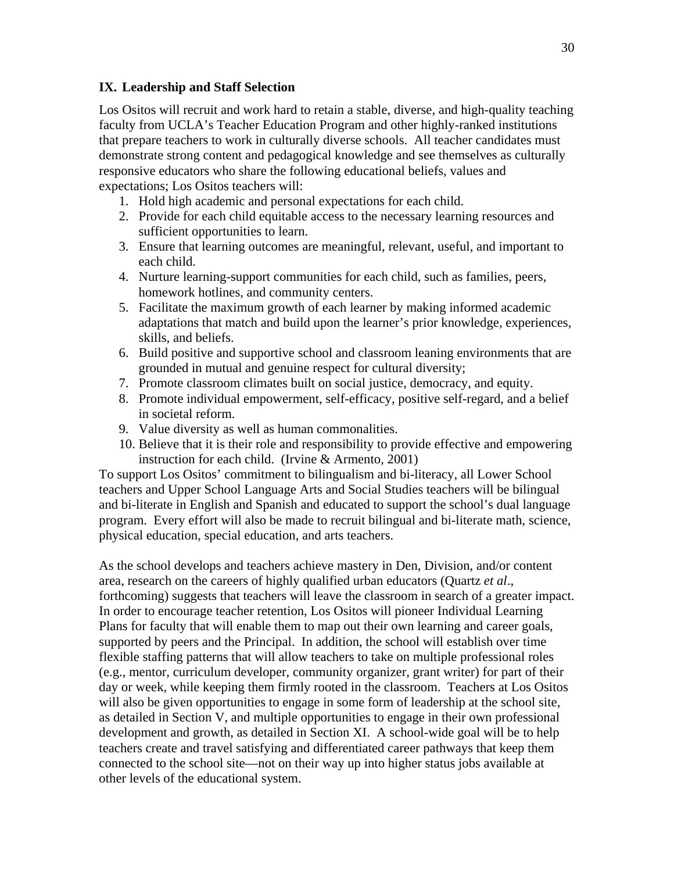### **IX. Leadership and Staff Selection**

Los Ositos will recruit and work hard to retain a stable, diverse, and high-quality teaching faculty from UCLA's Teacher Education Program and other highly-ranked institutions that prepare teachers to work in culturally diverse schools. All teacher candidates must demonstrate strong content and pedagogical knowledge and see themselves as culturally responsive educators who share the following educational beliefs, values and expectations; Los Ositos teachers will:

- 1. Hold high academic and personal expectations for each child.
- 2. Provide for each child equitable access to the necessary learning resources and sufficient opportunities to learn.
- 3. Ensure that learning outcomes are meaningful, relevant, useful, and important to each child.
- 4. Nurture learning-support communities for each child, such as families, peers, homework hotlines, and community centers.
- 5. Facilitate the maximum growth of each learner by making informed academic adaptations that match and build upon the learner's prior knowledge, experiences, skills, and beliefs.
- 6. Build positive and supportive school and classroom leaning environments that are grounded in mutual and genuine respect for cultural diversity;
- 7. Promote classroom climates built on social justice, democracy, and equity.
- 8. Promote individual empowerment, self-efficacy, positive self-regard, and a belief in societal reform.
- 9. Value diversity as well as human commonalities.
- 10. Believe that it is their role and responsibility to provide effective and empowering instruction for each child. (Irvine & Armento, 2001)

To support Los Ositos' commitment to bilingualism and bi-literacy, all Lower School teachers and Upper School Language Arts and Social Studies teachers will be bilingual and bi-literate in English and Spanish and educated to support the school's dual language program. Every effort will also be made to recruit bilingual and bi-literate math, science, physical education, special education, and arts teachers.

As the school develops and teachers achieve mastery in Den, Division, and/or content area, research on the careers of highly qualified urban educators (Quartz *et al*., forthcoming) suggests that teachers will leave the classroom in search of a greater impact. In order to encourage teacher retention, Los Ositos will pioneer Individual Learning Plans for faculty that will enable them to map out their own learning and career goals, supported by peers and the Principal. In addition, the school will establish over time flexible staffing patterns that will allow teachers to take on multiple professional roles (e.g., mentor, curriculum developer, community organizer, grant writer) for part of their day or week, while keeping them firmly rooted in the classroom. Teachers at Los Ositos will also be given opportunities to engage in some form of leadership at the school site, as detailed in Section V, and multiple opportunities to engage in their own professional development and growth, as detailed in Section XI. A school-wide goal will be to help teachers create and travel satisfying and differentiated career pathways that keep them connected to the school site—not on their way up into higher status jobs available at other levels of the educational system.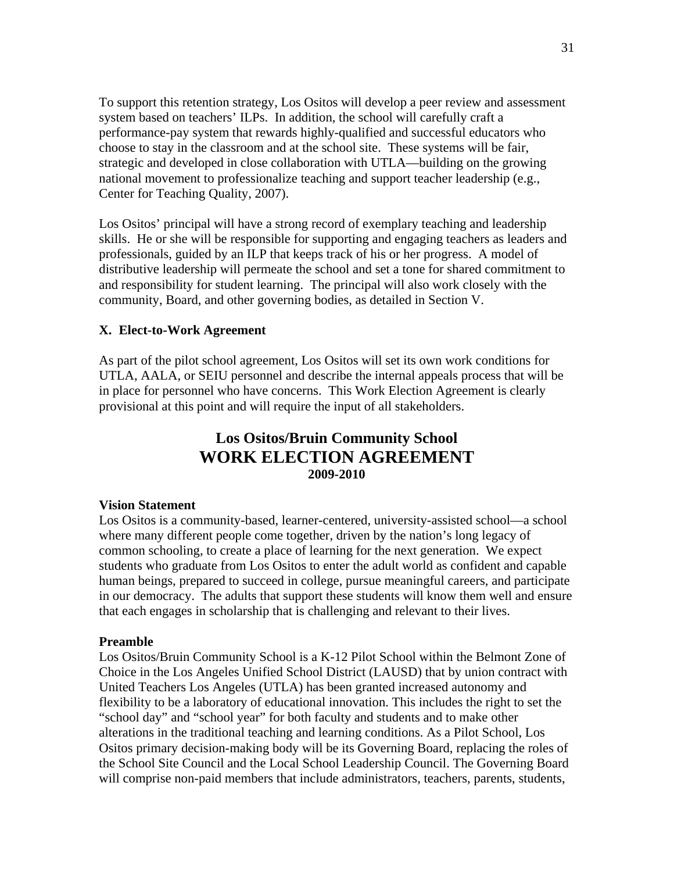To support this retention strategy, Los Ositos will develop a peer review and assessment system based on teachers' ILPs. In addition, the school will carefully craft a performance-pay system that rewards highly-qualified and successful educators who choose to stay in the classroom and at the school site. These systems will be fair, strategic and developed in close collaboration with UTLA—building on the growing national movement to professionalize teaching and support teacher leadership (e.g., Center for Teaching Quality, 2007).

Los Ositos' principal will have a strong record of exemplary teaching and leadership skills. He or she will be responsible for supporting and engaging teachers as leaders and professionals, guided by an ILP that keeps track of his or her progress. A model of distributive leadership will permeate the school and set a tone for shared commitment to and responsibility for student learning. The principal will also work closely with the community, Board, and other governing bodies, as detailed in Section V.

### **X. Elect-to-Work Agreement**

As part of the pilot school agreement, Los Ositos will set its own work conditions for UTLA, AALA, or SEIU personnel and describe the internal appeals process that will be in place for personnel who have concerns. This Work Election Agreement is clearly provisional at this point and will require the input of all stakeholders.

# **Los Ositos/Bruin Community School WORK ELECTION AGREEMENT 2009-2010**

#### **Vision Statement**

Los Ositos is a community-based, learner-centered, university-assisted school—a school where many different people come together, driven by the nation's long legacy of common schooling, to create a place of learning for the next generation. We expect students who graduate from Los Ositos to enter the adult world as confident and capable human beings, prepared to succeed in college, pursue meaningful careers, and participate in our democracy. The adults that support these students will know them well and ensure that each engages in scholarship that is challenging and relevant to their lives.

#### **Preamble**

Los Ositos/Bruin Community School is a K-12 Pilot School within the Belmont Zone of Choice in the Los Angeles Unified School District (LAUSD) that by union contract with United Teachers Los Angeles (UTLA) has been granted increased autonomy and flexibility to be a laboratory of educational innovation. This includes the right to set the "school day" and "school year" for both faculty and students and to make other alterations in the traditional teaching and learning conditions. As a Pilot School, Los Ositos primary decision-making body will be its Governing Board, replacing the roles of the School Site Council and the Local School Leadership Council. The Governing Board will comprise non-paid members that include administrators, teachers, parents, students,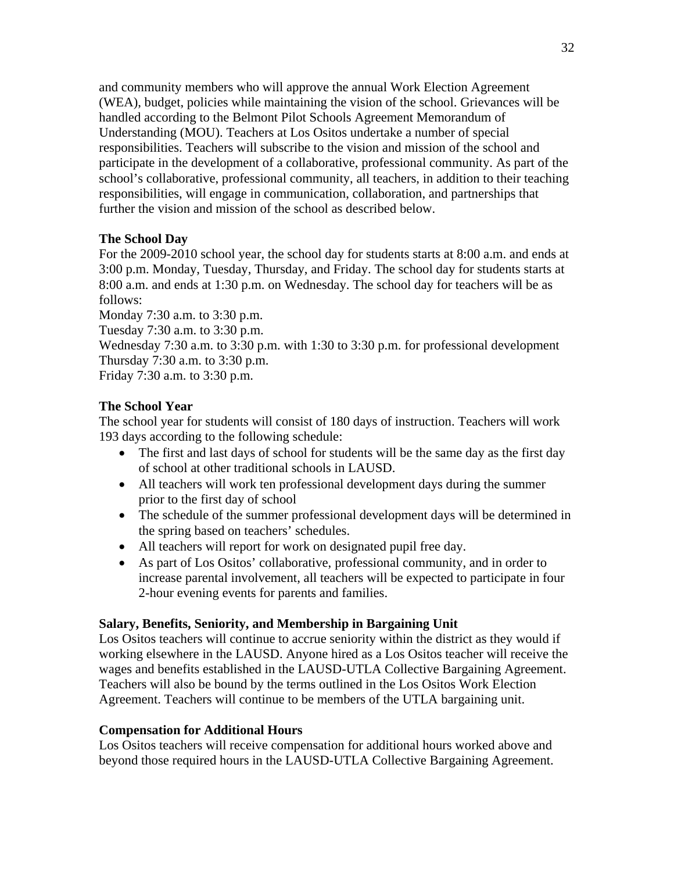and community members who will approve the annual Work Election Agreement (WEA), budget, policies while maintaining the vision of the school. Grievances will be handled according to the Belmont Pilot Schools Agreement Memorandum of Understanding (MOU). Teachers at Los Ositos undertake a number of special responsibilities. Teachers will subscribe to the vision and mission of the school and participate in the development of a collaborative, professional community. As part of the school's collaborative, professional community, all teachers, in addition to their teaching responsibilities, will engage in communication, collaboration, and partnerships that further the vision and mission of the school as described below.

## **The School Day**

For the 2009-2010 school year, the school day for students starts at 8:00 a.m. and ends at 3:00 p.m. Monday, Tuesday, Thursday, and Friday. The school day for students starts at 8:00 a.m. and ends at 1:30 p.m. on Wednesday. The school day for teachers will be as follows:

Monday 7:30 a.m. to 3:30 p.m. Tuesday 7:30 a.m. to 3:30 p.m. Wednesday 7:30 a.m. to 3:30 p.m. with 1:30 to 3:30 p.m. for professional development Thursday 7:30 a.m. to 3:30 p.m. Friday 7:30 a.m. to 3:30 p.m.

## **The School Year**

The school year for students will consist of 180 days of instruction. Teachers will work 193 days according to the following schedule:

- The first and last days of school for students will be the same day as the first day of school at other traditional schools in LAUSD.
- All teachers will work ten professional development days during the summer prior to the first day of school
- The schedule of the summer professional development days will be determined in the spring based on teachers' schedules.
- All teachers will report for work on designated pupil free day.
- As part of Los Ositos' collaborative, professional community, and in order to increase parental involvement, all teachers will be expected to participate in four 2-hour evening events for parents and families.

### **Salary, Benefits, Seniority, and Membership in Bargaining Unit**

Los Ositos teachers will continue to accrue seniority within the district as they would if working elsewhere in the LAUSD. Anyone hired as a Los Ositos teacher will receive the wages and benefits established in the LAUSD-UTLA Collective Bargaining Agreement. Teachers will also be bound by the terms outlined in the Los Ositos Work Election Agreement. Teachers will continue to be members of the UTLA bargaining unit.

### **Compensation for Additional Hours**

Los Ositos teachers will receive compensation for additional hours worked above and beyond those required hours in the LAUSD-UTLA Collective Bargaining Agreement.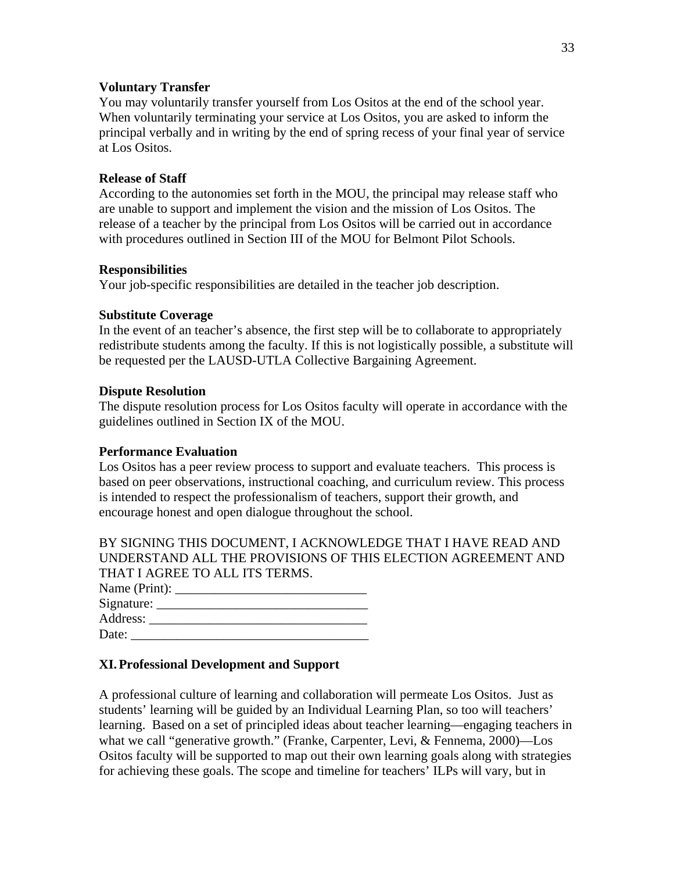#### **Voluntary Transfer**

You may voluntarily transfer yourself from Los Ositos at the end of the school year. When voluntarily terminating your service at Los Ositos, you are asked to inform the principal verbally and in writing by the end of spring recess of your final year of service at Los Ositos.

#### **Release of Staff**

According to the autonomies set forth in the MOU, the principal may release staff who are unable to support and implement the vision and the mission of Los Ositos. The release of a teacher by the principal from Los Ositos will be carried out in accordance with procedures outlined in Section III of the MOU for Belmont Pilot Schools.

#### **Responsibilities**

Your job-specific responsibilities are detailed in the teacher job description.

#### **Substitute Coverage**

In the event of an teacher's absence, the first step will be to collaborate to appropriately redistribute students among the faculty. If this is not logistically possible, a substitute will be requested per the LAUSD-UTLA Collective Bargaining Agreement.

#### **Dispute Resolution**

The dispute resolution process for Los Ositos faculty will operate in accordance with the guidelines outlined in Section IX of the MOU.

#### **Performance Evaluation**

Los Ositos has a peer review process to support and evaluate teachers. This process is based on peer observations, instructional coaching, and curriculum review. This process is intended to respect the professionalism of teachers, support their growth, and encourage honest and open dialogue throughout the school.

BY SIGNING THIS DOCUMENT, I ACKNOWLEDGE THAT I HAVE READ AND UNDERSTAND ALL THE PROVISIONS OF THIS ELECTION AGREEMENT AND THAT I AGREE TO ALL ITS TERMS.

| Name (Print): |  |
|---------------|--|
| Signature:    |  |
| Address:      |  |
| Date:         |  |

### **XI.Professional Development and Support**

A professional culture of learning and collaboration will permeate Los Ositos. Just as students' learning will be guided by an Individual Learning Plan, so too will teachers' learning. Based on a set of principled ideas about teacher learning—engaging teachers in what we call "generative growth." (Franke, Carpenter, Levi, & Fennema, 2000)—Los Ositos faculty will be supported to map out their own learning goals along with strategies for achieving these goals. The scope and timeline for teachers' ILPs will vary, but in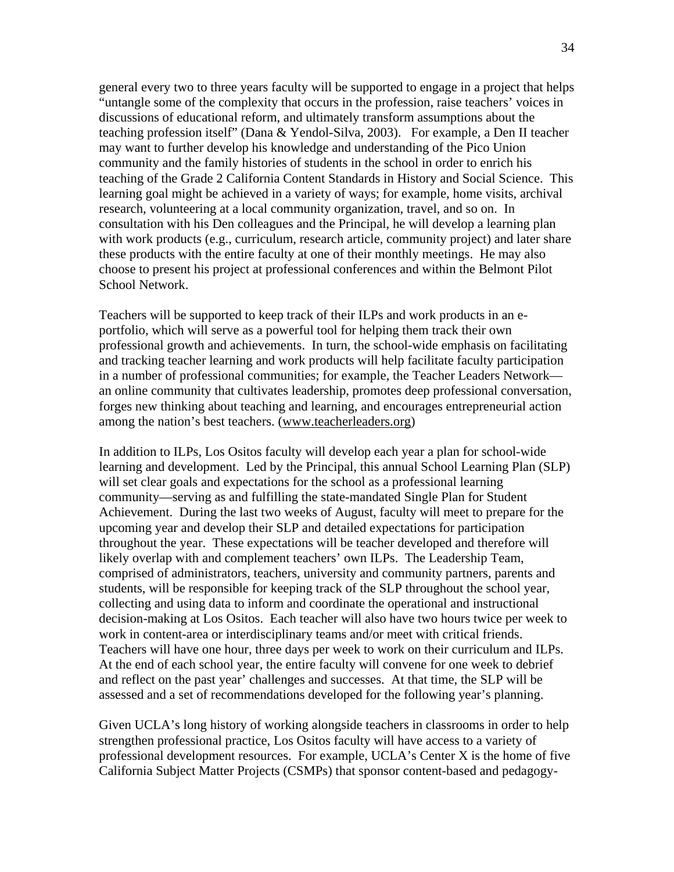general every two to three years faculty will be supported to engage in a project that helps "untangle some of the complexity that occurs in the profession, raise teachers' voices in discussions of educational reform, and ultimately transform assumptions about the teaching profession itself" (Dana & Yendol-Silva, 2003). For example, a Den II teacher may want to further develop his knowledge and understanding of the Pico Union community and the family histories of students in the school in order to enrich his teaching of the Grade 2 California Content Standards in History and Social Science. This learning goal might be achieved in a variety of ways; for example, home visits, archival research, volunteering at a local community organization, travel, and so on. In consultation with his Den colleagues and the Principal, he will develop a learning plan with work products (e.g., curriculum, research article, community project) and later share these products with the entire faculty at one of their monthly meetings. He may also choose to present his project at professional conferences and within the Belmont Pilot School Network.

Teachers will be supported to keep track of their ILPs and work products in an eportfolio, which will serve as a powerful tool for helping them track their own professional growth and achievements. In turn, the school-wide emphasis on facilitating and tracking teacher learning and work products will help facilitate faculty participation in a number of professional communities; for example, the Teacher Leaders Network an online community that cultivates leadership, promotes deep professional conversation, forges new thinking about teaching and learning, and encourages entrepreneurial action among the nation's best teachers. (www.teacherleaders.org)

In addition to ILPs, Los Ositos faculty will develop each year a plan for school-wide learning and development. Led by the Principal, this annual School Learning Plan (SLP) will set clear goals and expectations for the school as a professional learning community—serving as and fulfilling the state-mandated Single Plan for Student Achievement. During the last two weeks of August, faculty will meet to prepare for the upcoming year and develop their SLP and detailed expectations for participation throughout the year. These expectations will be teacher developed and therefore will likely overlap with and complement teachers' own ILPs. The Leadership Team, comprised of administrators, teachers, university and community partners, parents and students, will be responsible for keeping track of the SLP throughout the school year, collecting and using data to inform and coordinate the operational and instructional decision-making at Los Ositos. Each teacher will also have two hours twice per week to work in content-area or interdisciplinary teams and/or meet with critical friends. Teachers will have one hour, three days per week to work on their curriculum and ILPs. At the end of each school year, the entire faculty will convene for one week to debrief and reflect on the past year' challenges and successes. At that time, the SLP will be assessed and a set of recommendations developed for the following year's planning.

Given UCLA's long history of working alongside teachers in classrooms in order to help strengthen professional practice, Los Ositos faculty will have access to a variety of professional development resources. For example, UCLA's Center X is the home of five California Subject Matter Projects (CSMPs) that sponsor content-based and pedagogy-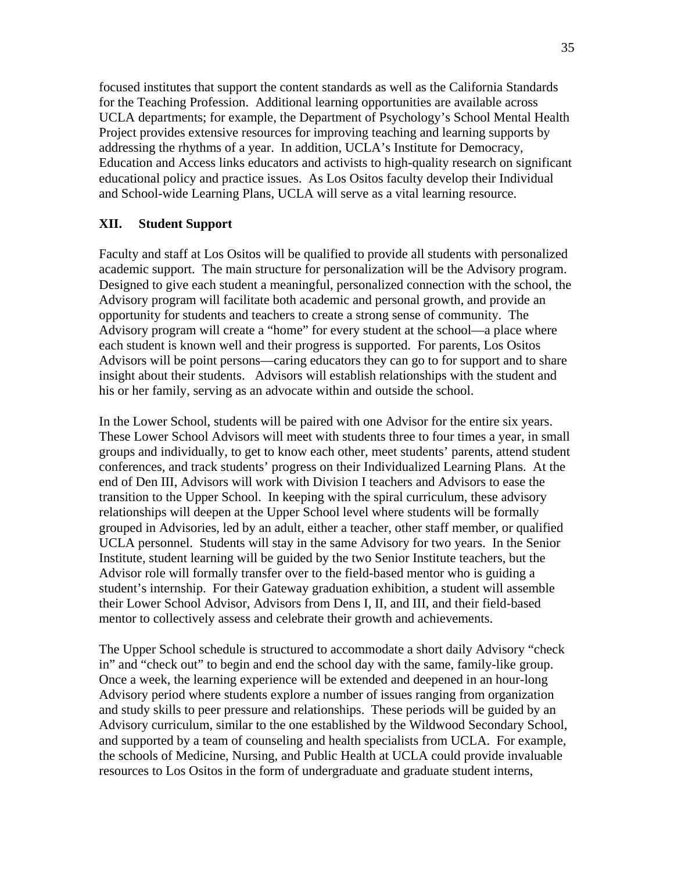focused institutes that support the content standards as well as the California Standards for the Teaching Profession. Additional learning opportunities are available across UCLA departments; for example, the Department of Psychology's School Mental Health Project provides extensive resources for improving teaching and learning supports by addressing the rhythms of a year. In addition, UCLA's Institute for Democracy, Education and Access links educators and activists to high-quality research on significant educational policy and practice issues. As Los Ositos faculty develop their Individual and School-wide Learning Plans, UCLA will serve as a vital learning resource.

### **XII. Student Support**

Faculty and staff at Los Ositos will be qualified to provide all students with personalized academic support. The main structure for personalization will be the Advisory program. Designed to give each student a meaningful, personalized connection with the school, the Advisory program will facilitate both academic and personal growth, and provide an opportunity for students and teachers to create a strong sense of community. The Advisory program will create a "home" for every student at the school—a place where each student is known well and their progress is supported. For parents, Los Ositos Advisors will be point persons—caring educators they can go to for support and to share insight about their students. Advisors will establish relationships with the student and his or her family, serving as an advocate within and outside the school.

In the Lower School, students will be paired with one Advisor for the entire six years. These Lower School Advisors will meet with students three to four times a year, in small groups and individually, to get to know each other, meet students' parents, attend student conferences, and track students' progress on their Individualized Learning Plans. At the end of Den III, Advisors will work with Division I teachers and Advisors to ease the transition to the Upper School. In keeping with the spiral curriculum, these advisory relationships will deepen at the Upper School level where students will be formally grouped in Advisories, led by an adult, either a teacher, other staff member, or qualified UCLA personnel. Students will stay in the same Advisory for two years. In the Senior Institute, student learning will be guided by the two Senior Institute teachers, but the Advisor role will formally transfer over to the field-based mentor who is guiding a student's internship. For their Gateway graduation exhibition, a student will assemble their Lower School Advisor, Advisors from Dens I, II, and III, and their field-based mentor to collectively assess and celebrate their growth and achievements.

The Upper School schedule is structured to accommodate a short daily Advisory "check in" and "check out" to begin and end the school day with the same, family-like group. Once a week, the learning experience will be extended and deepened in an hour-long Advisory period where students explore a number of issues ranging from organization and study skills to peer pressure and relationships. These periods will be guided by an Advisory curriculum, similar to the one established by the Wildwood Secondary School, and supported by a team of counseling and health specialists from UCLA. For example, the schools of Medicine, Nursing, and Public Health at UCLA could provide invaluable resources to Los Ositos in the form of undergraduate and graduate student interns,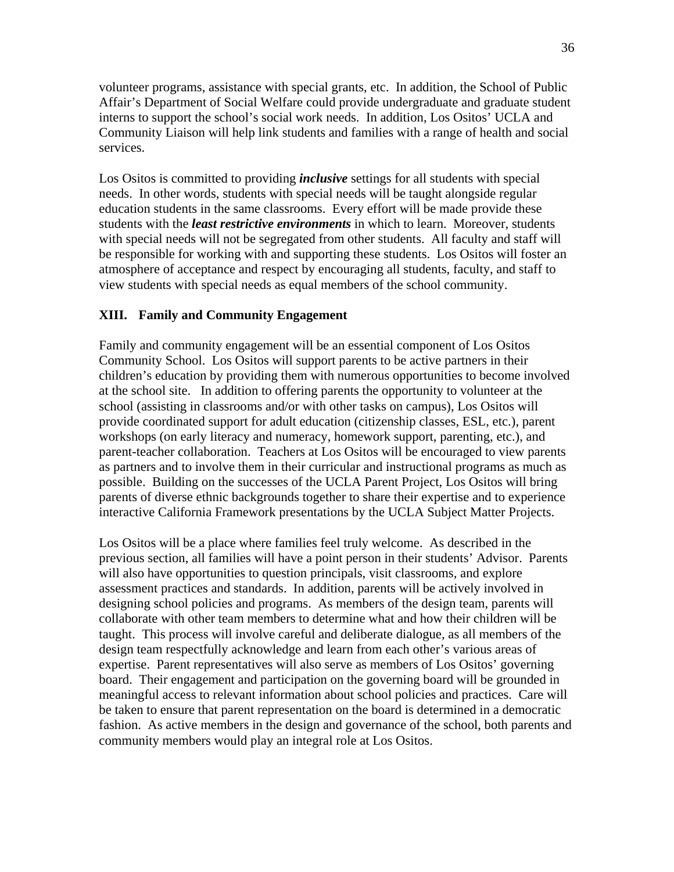volunteer programs, assistance with special grants, etc. In addition, the School of Public Affair's Department of Social Welfare could provide undergraduate and graduate student interns to support the school's social work needs. In addition, Los Ositos' UCLA and Community Liaison will help link students and families with a range of health and social services.

Los Ositos is committed to providing *inclusive* settings for all students with special needs. In other words, students with special needs will be taught alongside regular education students in the same classrooms. Every effort will be made provide these students with the *least restrictive environments* in which to learn. Moreover, students with special needs will not be segregated from other students. All faculty and staff will be responsible for working with and supporting these students. Los Ositos will foster an atmosphere of acceptance and respect by encouraging all students, faculty, and staff to view students with special needs as equal members of the school community.

### **XIII. Family and Community Engagement**

Family and community engagement will be an essential component of Los Ositos Community School. Los Ositos will support parents to be active partners in their children's education by providing them with numerous opportunities to become involved at the school site. In addition to offering parents the opportunity to volunteer at the school (assisting in classrooms and/or with other tasks on campus), Los Ositos will provide coordinated support for adult education (citizenship classes, ESL, etc.), parent workshops (on early literacy and numeracy, homework support, parenting, etc.), and parent-teacher collaboration. Teachers at Los Ositos will be encouraged to view parents as partners and to involve them in their curricular and instructional programs as much as possible. Building on the successes of the UCLA Parent Project, Los Ositos will bring parents of diverse ethnic backgrounds together to share their expertise and to experience interactive California Framework presentations by the UCLA Subject Matter Projects.

Los Ositos will be a place where families feel truly welcome. As described in the previous section, all families will have a point person in their students' Advisor. Parents will also have opportunities to question principals, visit classrooms, and explore assessment practices and standards. In addition, parents will be actively involved in designing school policies and programs. As members of the design team, parents will collaborate with other team members to determine what and how their children will be taught. This process will involve careful and deliberate dialogue, as all members of the design team respectfully acknowledge and learn from each other's various areas of expertise. Parent representatives will also serve as members of Los Ositos' governing board. Their engagement and participation on the governing board will be grounded in meaningful access to relevant information about school policies and practices. Care will be taken to ensure that parent representation on the board is determined in a democratic fashion. As active members in the design and governance of the school, both parents and community members would play an integral role at Los Ositos.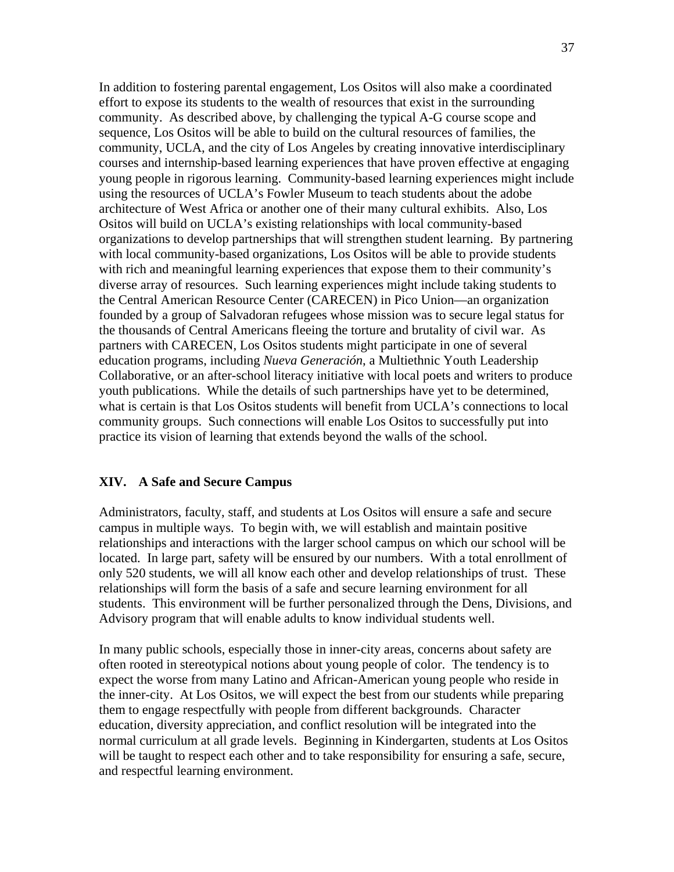In addition to fostering parental engagement, Los Ositos will also make a coordinated effort to expose its students to the wealth of resources that exist in the surrounding community. As described above, by challenging the typical A-G course scope and sequence, Los Ositos will be able to build on the cultural resources of families, the community, UCLA, and the city of Los Angeles by creating innovative interdisciplinary courses and internship-based learning experiences that have proven effective at engaging young people in rigorous learning. Community-based learning experiences might include using the resources of UCLA's Fowler Museum to teach students about the adobe architecture of West Africa or another one of their many cultural exhibits. Also, Los Ositos will build on UCLA's existing relationships with local community-based organizations to develop partnerships that will strengthen student learning. By partnering with local community-based organizations, Los Ositos will be able to provide students with rich and meaningful learning experiences that expose them to their community's diverse array of resources. Such learning experiences might include taking students to the Central American Resource Center (CARECEN) in Pico Union—an organization founded by a group of Salvadoran refugees whose mission was to secure legal status for the thousands of Central Americans fleeing the torture and brutality of civil war. As partners with CARECEN, Los Ositos students might participate in one of several education programs, including *Nueva Generación*, a Multiethnic Youth Leadership Collaborative, or an after-school literacy initiative with local poets and writers to produce youth publications. While the details of such partnerships have yet to be determined, what is certain is that Los Ositos students will benefit from UCLA's connections to local community groups. Such connections will enable Los Ositos to successfully put into practice its vision of learning that extends beyond the walls of the school.

### **XIV. A Safe and Secure Campus**

Administrators, faculty, staff, and students at Los Ositos will ensure a safe and secure campus in multiple ways. To begin with, we will establish and maintain positive relationships and interactions with the larger school campus on which our school will be located. In large part, safety will be ensured by our numbers. With a total enrollment of only 520 students, we will all know each other and develop relationships of trust. These relationships will form the basis of a safe and secure learning environment for all students. This environment will be further personalized through the Dens, Divisions, and Advisory program that will enable adults to know individual students well.

In many public schools, especially those in inner-city areas, concerns about safety are often rooted in stereotypical notions about young people of color. The tendency is to expect the worse from many Latino and African-American young people who reside in the inner-city. At Los Ositos, we will expect the best from our students while preparing them to engage respectfully with people from different backgrounds. Character education, diversity appreciation, and conflict resolution will be integrated into the normal curriculum at all grade levels. Beginning in Kindergarten, students at Los Ositos will be taught to respect each other and to take responsibility for ensuring a safe, secure, and respectful learning environment.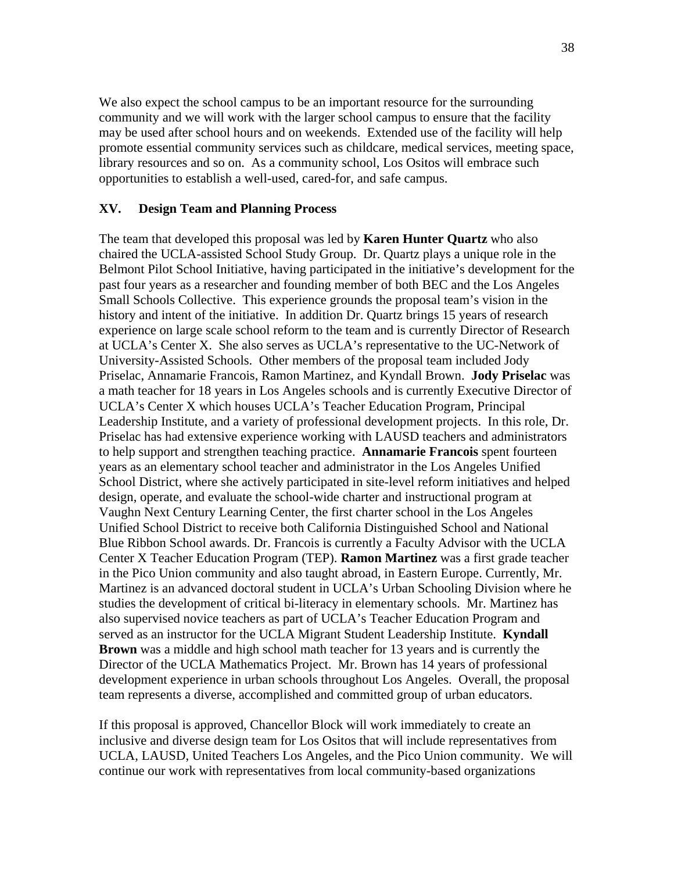We also expect the school campus to be an important resource for the surrounding community and we will work with the larger school campus to ensure that the facility may be used after school hours and on weekends. Extended use of the facility will help promote essential community services such as childcare, medical services, meeting space, library resources and so on. As a community school, Los Ositos will embrace such opportunities to establish a well-used, cared-for, and safe campus.

#### **XV. Design Team and Planning Process**

The team that developed this proposal was led by **Karen Hunter Quartz** who also chaired the UCLA-assisted School Study Group. Dr. Quartz plays a unique role in the Belmont Pilot School Initiative, having participated in the initiative's development for the past four years as a researcher and founding member of both BEC and the Los Angeles Small Schools Collective. This experience grounds the proposal team's vision in the history and intent of the initiative. In addition Dr. Quartz brings 15 years of research experience on large scale school reform to the team and is currently Director of Research at UCLA's Center X. She also serves as UCLA's representative to the UC-Network of University-Assisted Schools. Other members of the proposal team included Jody Priselac, Annamarie Francois, Ramon Martinez, and Kyndall Brown. **Jody Priselac** was a math teacher for 18 years in Los Angeles schools and is currently Executive Director of UCLA's Center X which houses UCLA's Teacher Education Program, Principal Leadership Institute, and a variety of professional development projects. In this role, Dr. Priselac has had extensive experience working with LAUSD teachers and administrators to help support and strengthen teaching practice. **Annamarie Francois** spent fourteen years as an elementary school teacher and administrator in the Los Angeles Unified School District, where she actively participated in site-level reform initiatives and helped design, operate, and evaluate the school-wide charter and instructional program at Vaughn Next Century Learning Center, the first charter school in the Los Angeles Unified School District to receive both California Distinguished School and National Blue Ribbon School awards. Dr. Francois is currently a Faculty Advisor with the UCLA Center X Teacher Education Program (TEP). **Ramon Martinez** was a first grade teacher in the Pico Union community and also taught abroad, in Eastern Europe. Currently, Mr. Martinez is an advanced doctoral student in UCLA's Urban Schooling Division where he studies the development of critical bi-literacy in elementary schools. Mr. Martinez has also supervised novice teachers as part of UCLA's Teacher Education Program and served as an instructor for the UCLA Migrant Student Leadership Institute. **Kyndall Brown** was a middle and high school math teacher for 13 years and is currently the Director of the UCLA Mathematics Project. Mr. Brown has 14 years of professional development experience in urban schools throughout Los Angeles. Overall, the proposal team represents a diverse, accomplished and committed group of urban educators.

If this proposal is approved, Chancellor Block will work immediately to create an inclusive and diverse design team for Los Ositos that will include representatives from UCLA, LAUSD, United Teachers Los Angeles, and the Pico Union community. We will continue our work with representatives from local community-based organizations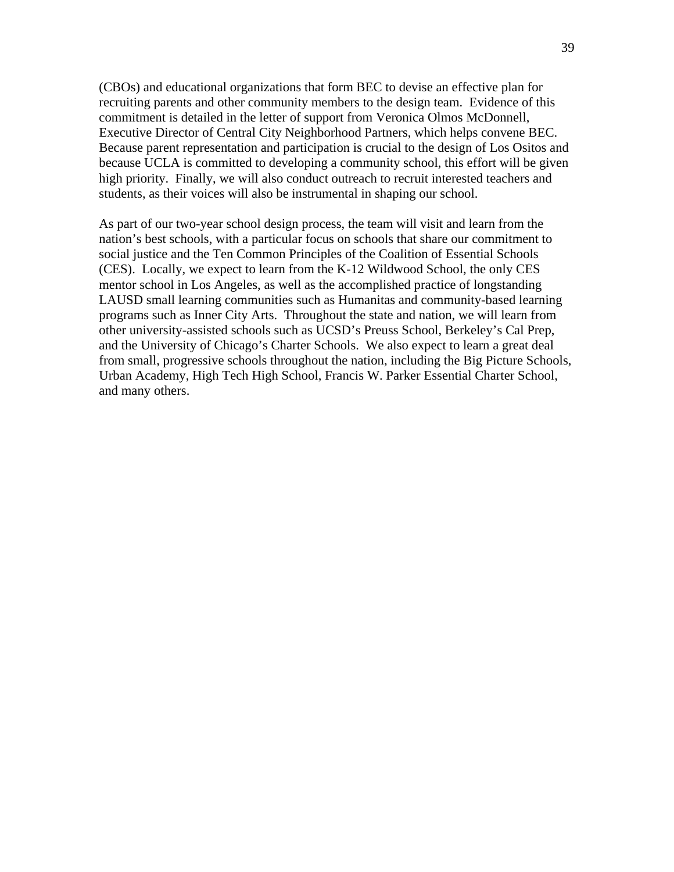(CBOs) and educational organizations that form BEC to devise an effective plan for recruiting parents and other community members to the design team. Evidence of this commitment is detailed in the letter of support from Veronica Olmos McDonnell, Executive Director of Central City Neighborhood Partners, which helps convene BEC. Because parent representation and participation is crucial to the design of Los Ositos and because UCLA is committed to developing a community school, this effort will be given high priority. Finally, we will also conduct outreach to recruit interested teachers and students, as their voices will also be instrumental in shaping our school.

As part of our two-year school design process, the team will visit and learn from the nation's best schools, with a particular focus on schools that share our commitment to social justice and the Ten Common Principles of the Coalition of Essential Schools (CES). Locally, we expect to learn from the K-12 Wildwood School, the only CES mentor school in Los Angeles, as well as the accomplished practice of longstanding LAUSD small learning communities such as Humanitas and community-based learning programs such as Inner City Arts. Throughout the state and nation, we will learn from other university-assisted schools such as UCSD's Preuss School, Berkeley's Cal Prep, and the University of Chicago's Charter Schools. We also expect to learn a great deal from small, progressive schools throughout the nation, including the Big Picture Schools, Urban Academy, High Tech High School, Francis W. Parker Essential Charter School, and many others.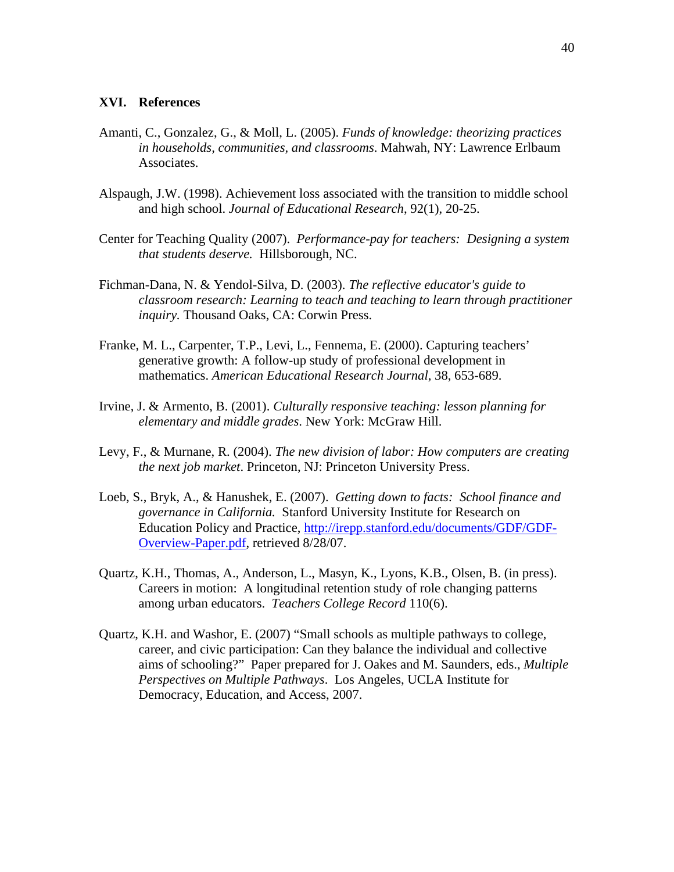#### **XVI. References**

- Amanti, C., Gonzalez, G., & Moll, L. (2005). *Funds of knowledge: theorizing practices in households, communities, and classrooms*. Mahwah, NY: Lawrence Erlbaum Associates.
- Alspaugh, J.W. (1998). Achievement loss associated with the transition to middle school and high school. *Journal of Educational Research*, 92(1), 20-25.
- Center for Teaching Quality (2007). *Performance-pay for teachers: Designing a system that students deserve.* Hillsborough, NC.
- Fichman-Dana, N. & Yendol-Silva, D. (2003). *The reflective educator's guide to classroom research: Learning to teach and teaching to learn through practitioner inquiry.* Thousand Oaks, CA: Corwin Press.
- Franke, M. L., Carpenter, T.P., Levi, L., Fennema, E. (2000). Capturing teachers' generative growth: A follow-up study of professional development in mathematics. *American Educational Research Journal*, 38, 653-689.
- Irvine, J. & Armento, B. (2001). *Culturally responsive teaching: lesson planning for elementary and middle grades*. New York: McGraw Hill.
- Levy, F., & Murnane, R. (2004). *The new division of labor: How computers are creating the next job market*. Princeton, NJ: Princeton University Press.
- Loeb, S., Bryk, A., & Hanushek, E. (2007). *Getting down to facts: School finance and governance in California.* Stanford University Institute for Research on Education Policy and Practice, http://irepp.stanford.edu/documents/GDF/GDF-Overview-Paper.pdf, retrieved 8/28/07.
- Quartz, K.H., Thomas, A., Anderson, L., Masyn, K., Lyons, K.B., Olsen, B. (in press). Careers in motion: A longitudinal retention study of role changing patterns among urban educators. *Teachers College Record* 110(6).
- Quartz, K.H. and Washor, E. (2007) "Small schools as multiple pathways to college, career, and civic participation: Can they balance the individual and collective aims of schooling?" Paper prepared for J. Oakes and M. Saunders, eds., *Multiple Perspectives on Multiple Pathways*. Los Angeles, UCLA Institute for Democracy, Education, and Access, 2007.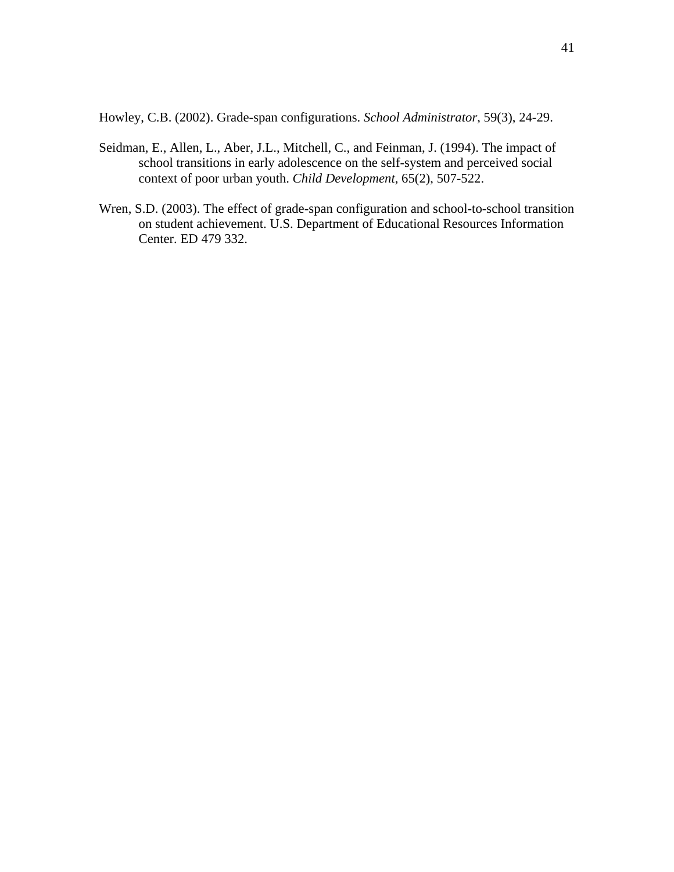Howley, C.B. (2002). Grade-span configurations. *School Administrator*, 59(3), 24-29.

- Seidman, E., Allen, L., Aber, J.L., Mitchell, C., and Feinman, J. (1994). The impact of school transitions in early adolescence on the self-system and perceived social context of poor urban youth. *Child Development*, 65(2), 507-522.
- Wren, S.D. (2003). The effect of grade-span configuration and school-to-school transition on student achievement. U.S. Department of Educational Resources Information Center. ED 479 332.